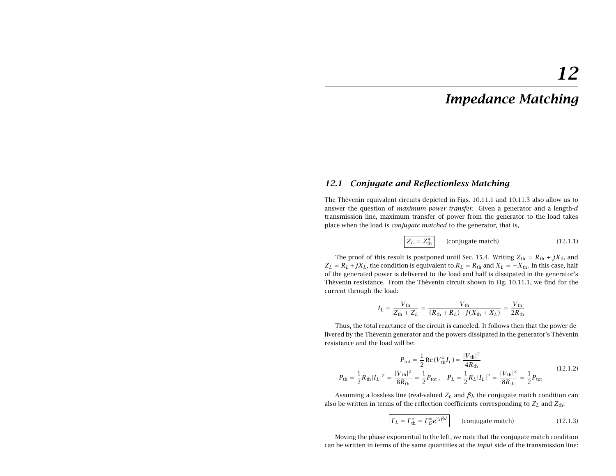# **12.1 Conjugate and Reflectionless Matching**

The Thévenin equivalent circuits depicted in Figs. 10.11.1 and 10.11.3 also allow us to answer the question of *maximum power transfer*. Given a generator and a length-*d* transmission line, maximum transfer of power from the generator to the load takes place when the load is conjugate matched to the generator, that is,

$$
Z_L = Z_{\text{th}}^*
$$
 (conjugate match) \t(12.1.1)

The proof of this result is postponed until Sec. 15.4. Writing  $Z_{\text{th}} = R_{\text{th}} + jX_{\text{th}}$  and  $Z_L = R_L + j X_L$ , the condition is equivalent to  $R_L = R_{\rm th}$  and  $X_L = -X_{\rm th}$ . In this case, half of the generated power is delivered to the load and half is dissipated in the generator's Thévenin resistance. From the Thévenin circuit shown in Fig. 10.11.1, we find for the current through the load:

$$
I_L = \frac{V_{\text{th}}}{Z_{\text{th}} + Z_L} = \frac{V_{\text{th}}}{(R_{\text{th}} + R_L) + j(X_{\text{th}} + X_L)} = \frac{V_{\text{th}}}{2R_{\text{th}}}
$$

Thus, the total reactance of the circuit is canceled. It follows then that the power delivered by the Thévenin generator and the powers dissipated in the generator's Thévenin resistance and the load will be:

$$
P_{\text{tot}} = \frac{1}{2} \text{Re}(V_{\text{th}}^* I_L) = \frac{|V_{\text{th}}|^2}{4R_{\text{th}}}
$$
  

$$
P_{\text{th}} = \frac{1}{2} R_{\text{th}} |I_L|^2 = \frac{|V_{\text{th}}|^2}{8R_{\text{th}}} = \frac{1}{2} P_{\text{tot}}, \quad P_L = \frac{1}{2} R_L |I_L|^2 = \frac{|V_{\text{th}}|^2}{8R_{\text{th}}} = \frac{1}{2} P_{\text{tot}}
$$
(12.1.2)

Assuming a lossless line (real-valued  $Z_0$  and  $\beta$ ), the conjugate match condition can also be written in terms of the reflection coefficients corresponding to  $Z_L$  and  $Z_{\rm th}$ :

$$
\boxed{\Gamma_L = \Gamma_{\text{th}}^* = \Gamma_G^* e^{2j\beta d}}
$$
 (conjugate match) (12.1.3)

Moving the phase exponential to the left, we note that the conjugate match condition can be written in terms of the same quantities at the input side of the transmission line: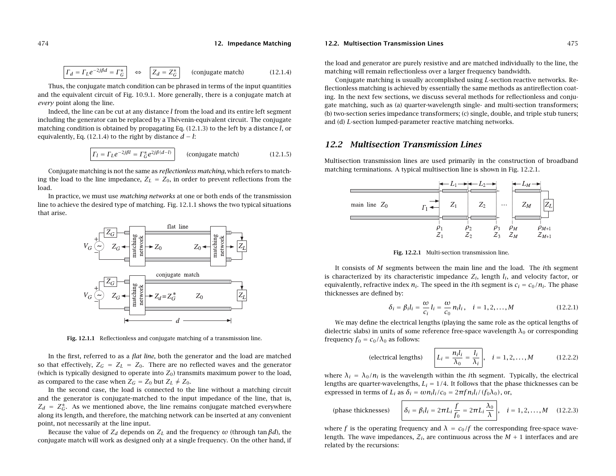$$
\boxed{\Gamma_d = \Gamma_L e^{-2j\beta d} = \Gamma_G^*} \quad \Leftrightarrow \quad \boxed{Z_d = Z_G^*} \qquad \text{(conjugate match)} \tag{12.1.4}
$$

Thus, the conjugate match condition can be phrased in terms of the input quantities and the equivalent circuit of Fig. 10.9.1. More generally, there is <sup>a</sup> conjugate match at every point along the line.

Indeed, the line can be cut at any distance l from the load and its entire left segment including the generator can be replaced by a Thévenin-equivalent circuit. The conjugate matching condition is obtained by propagating Eq.  $(12.1.3)$  to the left by a distance l, or equivalently, Eq. (12.1.4) to the right by distance  $d - l$ :

$$
T_l = \Gamma_L e^{-2j\beta l} = \Gamma_G^* e^{2j\beta(d-l)}
$$
 (conjugate match) (12.1.5)

Conjugate matching is not the same as reflectionless matching, which refers to matching the load to the line impedance,  $Z_L = Z_0$ , in order to prevent reflections from the load.

In practice, we must use matching networks at one or both ends of the transmission line to achieve the desired type of matching. Fig. 12.1.1 shows the two typical situations that arise.



**Fig. 12.1.1** Reflectionless and conjugate matching of <sup>a</sup> transmission line.

In the first, referred to as <sup>a</sup> flat line, both the generator and the load are matched so that effectively,  $Z_G = Z_L = Z_0$ . There are no reflected waves and the generator (which is typically designed to operate into  $Z_0$ ) transmits maximum power to the load, as compared to the case when  $Z_G = Z_0$  but  $Z_L \neq Z_0$ .

In the second case, the load is connected to the line without <sup>a</sup> matching circuit and the generator is conjugate-matched to the input impedance of the line, that is,  $Z_d = Z_G^*$ . As we mentioned above, the line remains conjugate matched everywhere along its length, and therefore, the matching network can be inserted at any convenient point, not necessarily at the line input.

Because the value of  $Z_d$  depends on  $Z_L$  and the frequency  $\omega$  (through tan  $\beta d$ ), the conjugate match will work as designed only at <sup>a</sup> single frequency. On the other hand, if

#### **12.2. Multisection Transmission Lines**

the load and generator are purely resistive and are matched individually to the line, the matching will remain reflectionless over <sup>a</sup> larger frequency bandwidth.

Conjugate matching is usually accomplished using L-section reactive networks. Reflectionless matching is achieved by essentially the same methods as antireflection coating. In the next few sections, we discuss several methods for reflectionless and conjugate matching, such as (a) quarter-wavelength single- and multi-section transformers; (b) two-section series impedance transformers; (c) single, double, and triple stub tuners; and (d) L-section lumped-parameter reactive matching networks.

# **12.2 Multisection Transmission Lines**

Multisection transmission lines are used primarily in the construction of broadband matching terminations. A typical multisection line is shown in Fig. 12.2.1.



**Fig. 12.2.1** Multi-section transmission line.

It consists of M segments between the main line and the load. The *i*th segment is characterized by its characteristic impedance  $Z_i$ , length  $l_i$ , and velocity factor, or equivalently, refractive index  $n_i$ . The speed in the *i*th segment is  $c_i = c_0/n_i$ . The phase thicknesses are defined by:

$$
\delta_i = \beta_i l_i = \frac{\omega}{c_i} l_i = \frac{\omega}{c_0} n_i l_i, \quad i = 1, 2, ..., M
$$
 (12.2.1)

We may define the electrical lengths (playing the same role as the optical lengths of dielectric slabs) in units of some reference free-space wavelength  $\lambda_0$  or corresponding frequency  $f_0 = c_0/\lambda_0$  as follows:

(electrical lengths) 
$$
L_i = \frac{n_i l_i}{\lambda_0} = \frac{l_i}{\lambda_i}, \quad i = 1, 2, ..., M
$$
 (12.2.2)

where  $\lambda_i = \lambda_0/n_i$  is the wavelength within the *i*th segment. Typically, the electrical lengths are quarter-wavelengths,  $L_i = 1/4$ . It follows that the phase thicknesses can be expressed in terms of  $L_i$  as  $\delta_i = \omega n_i l_i / c_0 = 2\pi f n_i l_i / (f_0 \lambda_0)$ , or,

(phase thicknesses)

$$
\delta_i = \beta_i l_i = 2\pi L_i \frac{f}{f_0} = 2\pi L_i \frac{\lambda_0}{\lambda}, \quad i = 1, 2, \dots, M \quad (12.2.3)
$$

where f is the operating frequency and  $\lambda = c_0/f$  the corresponding free-space wavelength. The wave impedances,  $\mathcal{Z}_i$ , are continuous across the  $M + 1$  interfaces and are related by the recursions: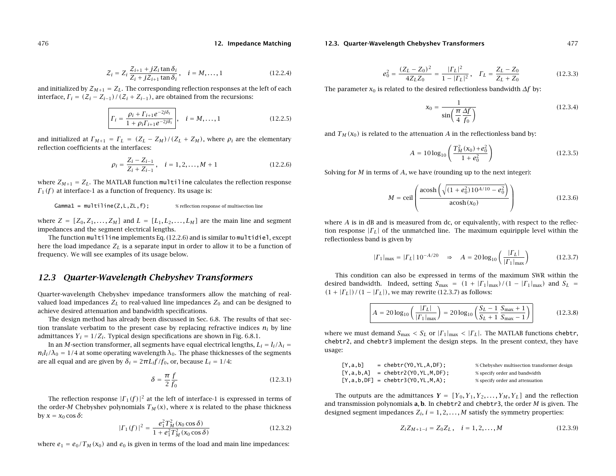$$
Z_i = Z_i \frac{Z_{i+1} + jZ_i \tan \delta_i}{Z_i + jZ_{i+1} \tan \delta_i}, \quad i = M, \dots, 1
$$
\n(12.2.4)

and initialized by  ${\cal Z}_{M+1} = Z_L.$  The corresponding reflection responses at the left of each interface,  $\Gamma_i = (\mathcal{Z}_i - Z_{i-1})/(\mathcal{Z}_i + Z_{i-1})$ , are obtained from the recursions:

$$
\Gamma_i = \frac{\rho_i + \Gamma_{i+1}e^{-2j\delta_i}}{1 + \rho_i\Gamma_{i+1}e^{-2j\delta_i}}, \quad i = M, ..., 1
$$
\n(12.2.5)

and initialized at  $\Gamma_{M+1} = \Gamma_L = (Z_L - Z_M)/(Z_L + Z_M)$ , where  $\rho_i$  are the elementary reflection coefficients at the interfaces:

$$
\rho_i = \frac{Z_i - Z_{i-1}}{Z_i + Z_{i-1}}, \quad i = 1, 2, ..., M + 1
$$
\n(12.2.6)

where  $Z_{M+1} = Z_L.$  The MATLAB function <code>multiline</code> calculates the reflection response  $\Gamma_1(f)$  at interface-1 as a function of frequency. Its usage is:

 $Gamma = multilinear(Z, L, ZL, f);$  % reflection response of multisection line

where  $Z = [Z_0, Z_1, \ldots, Z_M]$  and  $L = [L_1, L_2, \ldots, L_M]$  are the main line and segment impedances and the segment electrical lengths.

The function multiline implements Eq. (12.2.6) and is similar to multidiel, except here the load impedance  $Z_L$  is a separate input in order to allow it to be a function of frequency. We will see examples of its usage below.

# **12.3 Quarter-Wavelength Chebyshev Transformers**

Quarter-wavelength Chebyshev impedance transformers allow the matching of realvalued load impedances  $Z_L$  to real-valued line impedances  $Z_0$  and can be designed to achieve desired attenuation and bandwidth specifications.

The design method has already been discussed in Sec. 6.8. The results of that section translate verbatim to the present case by replacing refractive indices  $n_i$  by line admittances  $Y_i = 1/Z_i$ . Typical design specifications are shown in Fig. 6.8.1.

In an  $M$ -section transformer, all segments have equal electrical lengths,  $L_i = l_i/\lambda_i =$  $n_i l_i/\lambda_0 = 1/4$  at some operating wavelength  $\lambda_0.$  The phase thicknesses of the segments are all equal and are given by  $\delta_i = 2\pi L_i f/f_0$ , or, because  $L_i = 1/4$ :

$$
\delta = \frac{\pi}{2} \frac{f}{f_0} \tag{12.3.1}
$$

The reflection response  $| \Gamma_1(f) |^2$  at the left of interface-1 is expressed in terms of the order-M Chebyshev polynomials  $T_M(x)$ , where x is related to the phase thickness by  $x = x_0 \cos \delta$ :

$$
|\Gamma_1(f)|^2 = \frac{e_1^2 T_M^2(x_0 \cos \delta)}{1 + e_1^2 T_M^2(x_0 \cos \delta)}
$$
(12.3.2)

where  $e_1 = e_0/T_M(x_0)$  and  $e_0$  is given in terms of the load and main line impedances:

#### **12.3. Quarter-Wavelength Chebyshev Transformers** 477

$$
e_0^2 = \frac{(Z_L - Z_0)^2}{4Z_L Z_0} = \frac{|\Gamma_L|^2}{1 - |\Gamma_L|^2}, \quad \Gamma_L = \frac{Z_L - Z_0}{Z_L + Z_0}
$$
(12.3.3)

The parameter  $x_0$  is related to the desired reflectionless bandwidth  $\varDelta f$  by:

$$
x_0 = \frac{1}{\sin\left(\frac{\pi}{4}\frac{\Delta f}{f_0}\right)}\tag{12.3.4}
$$

and  $T_M(x_0)$  is related to the attenuation  $A$  in the reflectionless band by:

$$
A = 10\log_{10}\left(\frac{T_M^2(x_0) + e_0^2}{1 + e_0^2}\right)
$$
 (12.3.5)

Solving for  $M$  in terms of  $A$ , we have (rounding up to the next integer):

$$
M = \text{ceil}\left(\frac{\text{acosh}\left(\sqrt{(1 + e_0^2)10^{A/10} - e_0^2}\right)}{\text{acosh}(x_0)}\right)
$$
(12.3.6)

where A is in dB and is measured from dc, or equivalently, with respect to the reflection response  $|\Gamma_L|$  of the unmatched line. The maximum equiripple level within the reflectionless band is given by

$$
|\Gamma_1|_{\text{max}} = |\Gamma_L| \, 10^{-A/20} \quad \Rightarrow \quad A = 20 \log_{10} \left( \frac{|\Gamma_L|}{|\Gamma_1|_{\text{max}}} \right) \tag{12.3.7}
$$

This condition can also be expressed in terms of the maximum SWR within the desired bandwidth. Indeed, setting  $S_{\rm max}$  =  $(1 + |\Gamma_1|_{\rm max})/(1 - |\Gamma_1|_{\rm max})$  and  $S_L$  =  $(1 + |\Gamma_L|)/(1 - |\Gamma_L|)$ , we may rewrite (12.3.7) as follows:

$$
A = 20 \log_{10} \left( \frac{|{\Gamma_L}|}{|{\Gamma_1}|_{\text{max}}} \right) = 20 \log_{10} \left( \frac{S_L - 1}{S_L + 1} \frac{S_{\text{max}} + 1}{S_{\text{max}} - 1} \right)
$$
 (12.3.8)

where we must demand  $S_{\rm max} < S_L$  or  $|\varGamma_1|_{\rm max} < |\varGamma_L|$ . The MATLAB functions chebtr, chebtr2, and chebtr3 implement the design steps. In the present context, they have usage:

| [Y, a, b] | $=$ chebtr(Y0,YL,A,DF);                         | % Chebyshev multisection transformer design |
|-----------|-------------------------------------------------|---------------------------------------------|
|           | $[Y, a, b, A]$ = chebtr2(Y0, YL, M, DF);        | % specify order and bandwidth               |
|           | $[Y, a, b, DF] = \text{chebrr3}(Y0, YL, M, A);$ | % specify order and attenuation             |

The outputs are the admittances  $Y = [Y_0, Y_1, Y_2, \ldots, Y_M, Y_L]$  and the reflection and transmission polynomials **<sup>a</sup>**, **b**. In chebtr2 and chebtr3, the order M is given. The designed segment impedances  $Z_i$ ,  $i = 1, 2, ..., M$  satisfy the symmetry properties:

$$
Z_i Z_{M+1-i} = Z_0 Z_L, \quad i = 1, 2, ..., M
$$
 (12.3.9)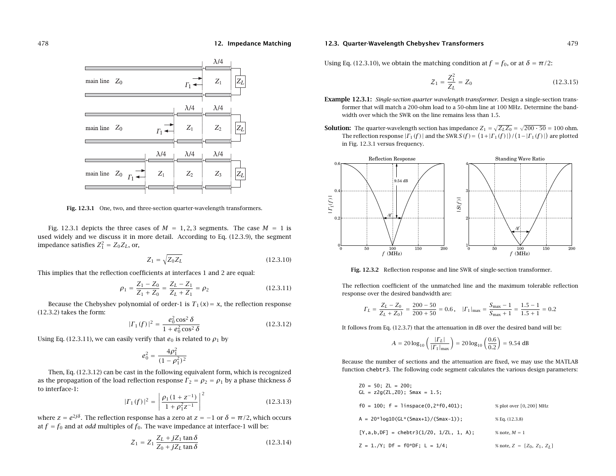

**Fig. 12.3.1** One, two, and three-section quarter-wavelength transformers.

Fig. 12.3.1 depicts the three cases of  $M = 1, 2, 3$  segments. The case  $M = 1$  is used widely and we discuss it in more detail. According to Eq. (12.3.9), the segment impedance satisfies  $Z_1^2 = Z_0 Z_L$ , or,

$$
Z_1 = \sqrt{Z_0 Z_L} \tag{12.3.10}
$$

This implies that the reflection coefficients at interfaces 1 and 2 are equal:

$$
\rho_1 = \frac{Z_1 - Z_0}{Z_1 + Z_0} = \frac{Z_L - Z_1}{Z_L + Z_1} = \rho_2
$$
\n(12.3.11)

Because the Chebyshev polynomial of order-1 is  $T_1(x) = x$ , the reflection response (12.3.2) takes the form:

$$
|\Gamma_1(f)|^2 = \frac{e_0^2 \cos^2 \delta}{1 + e_0^2 \cos^2 \delta} \tag{12.3.12}
$$

Using Eq. (12.3.11), we can easily verify that  $e_0$  is related to  $\rho_1$  by

$$
e_0^2 = \frac{4\rho_1^2}{(1-\rho_1^2)^2}
$$

Then, Eq. (12.3.12) can be cast in the following equivalent form, which is recognized as the propagation of the load reflection response  $\varGamma_2=\rho_2=\rho_1$  by a phase thickness  $\delta$ to interface-1:

$$
|\Gamma_1(f)|^2 = \left| \frac{\rho_1 (1 + z^{-1})}{1 + \rho_1^2 z^{-1}} \right|^2 \tag{12.3.13}
$$

where  $z=e^{2j\delta}$ . The reflection response has a zero at  $z=-1$  or  $\delta=\pi/2$ , which occurs at  $f = f_0$  and at *odd* multiples of  $f_0$ . The wave impedance at interface-1 will be:

$$
Z_1 = Z_1 \frac{Z_L + jZ_1 \tan \delta}{Z_0 + jZ_L \tan \delta}
$$
 (12.3.14)

#### **12.3. Quarter-Wavelength Chebyshev Transformers** 479

Using Eq. (12.3.10), we obtain the matching condition at  $f = f_0$ , or at  $\delta = \pi/2$ :

$$
Z_1 = \frac{Z_1^2}{Z_L} = Z_0 \tag{12.3.15}
$$

- **Example 12.3.1:** Single-section quarter wavelength transformer. Design <sup>a</sup> single-section transformer that will match <sup>a</sup> 200-ohm load to <sup>a</sup> 50-ohm line at 100 MHz. Determine the bandwidth over which the SWR on the line remains less than 1.5.
- **Solution:** The quarter-wavelength section has impedance  $Z_1 = \sqrt{Z_L Z_0} = \sqrt{200 \cdot 50} = 100$  ohm. The reflection response  $|\Gamma_1(f)|$  and the SWR  $S(f) = (1+|\Gamma_1(f)|)/(1-|\Gamma_1(f)|)$  are plotted in Fig. 12.3.1 versus frequency.



**Fig. 12.3.2** Reflection response and line SWR of single-section transformer.

The reflection coefficient of the unmatched line and the maximum tolerable reflection response over the desired bandwidth are:

$$
\Gamma_L = \frac{Z_L - Z_0}{Z_L + Z_0} = \frac{200 - 50}{200 + 50} = 0.6, \quad |\Gamma_1|_{\text{max}} = \frac{S_{\text{max}} - 1}{S_{\text{max}} + 1} = \frac{1.5 - 1}{1.5 + 1} = 0.2
$$

It follows from Eq. (12.3.7) that the attenuation in dB over the desired band will be:

$$
A = 20 \log_{10} \left( \frac{|I_L|}{|I_1|_{\text{max}}} \right) = 20 \log_{10} \left( \frac{0.6}{0.2} \right) = 9.54 \text{ dB}
$$

Because the number of sections and the attenuation are fixed, we may use the MATLAB function chebtr3. The following code segment calculates the various design parameters:

| $Z0 = 50$ : ZL = 200:<br>$GL = z2q(ZL, Z0)$ ; Smax = 1.5; |                               |
|-----------------------------------------------------------|-------------------------------|
| $f0 = 100$ ; $f = \text{linspace}(0, 2*f0, 401)$ ;        | % plot over [0, 200] MHz      |
| $A = 20*log10(GL*(Smax+1)/(Smax-1))$ ;                    | % Eq. (12.3.8)                |
| $[Y, a, b, DF] = \text{chebr3}(1/20, 1/2L, 1, A);$        | % note, $M = 1$               |
| $Z = 1./Y$ ; Df = f0*DF; L = 1/4;                         | % note, $Z = [Z_0, Z_1, Z_I]$ |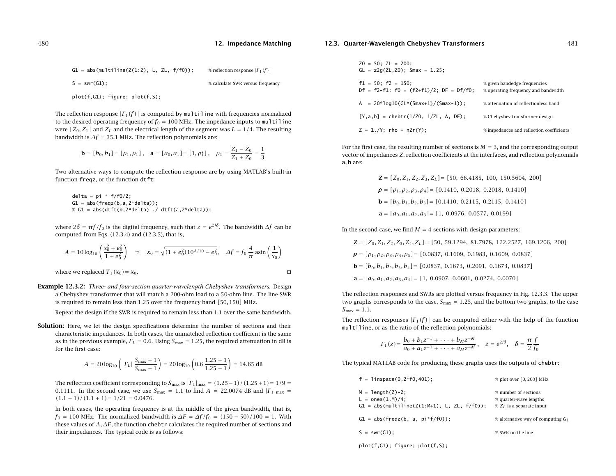| $G1 = abs(multiline(Z(1:2), L, ZL, f/f0));$ | % reflection response $ \Gamma_1(f) $ |
|---------------------------------------------|---------------------------------------|
| $S = swr(G1)$ :                             | % calculate SWR versus frequency      |

plot(f,G1); figure; plot(f,S);

The reflection response  $|\Gamma_1(f)|$  is computed by multiline with frequencies normalized to the desired operating frequency of  $f_0 = 100$  MHz. The impedance inputs to multiline were  $[Z_0, Z_1]$  and  $Z_L$  and the electrical length of the segment was  $L = 1/4$ . The resulting bandwidth is  $\Delta f = 35.1$  MHz. The reflection polynomials are:

$$
\mathbf{b} = [b_0, b_1] = [\rho_1, \rho_1], \quad \mathbf{a} = [a_0, a_1] = [1, \rho_1^2], \quad \rho_1 = \frac{Z_1 - Z_0}{Z_1 + Z_0} = \frac{1}{3}
$$

Two alternative ways to compute the reflection response are by using MATLAB's built-in function freqz, or the function dtft:

delta <sup>=</sup> pi \* f/f0/2; G1 <sup>=</sup> abs(freqz(b,a,2\*delta)); % G1 <sup>=</sup> abs(dtft(b,2\*delta) ./ dtft(a,2\*delta));

where 2 $\delta = \pi f/f_0$  is the digital frequency, such that  $z = e^{2j\delta}$ . The bandwidth  $\varDelta f$  can be computed from Eqs. (12.3.4) and (12.3.5), that is,

$$
A = 10 \log_{10} \left( \frac{x_0^2 + e_0^2}{1 + e_0^2} \right) \implies x_0 = \sqrt{(1 + e_0^2) 10^{A/10} - e_0^2}, \quad \Delta f = f_0 \frac{4}{\pi} \operatorname{asin} \left( \frac{1}{x_0} \right)
$$
  
where we replaced  $T_1(x_0) = x_0$ .

**Example 12.3.2:** Three- and four-section quarter-wavelength Chebyshev transformers. Design <sup>a</sup> Chebyshev transformer that will match <sup>a</sup> 200-ohm load to <sup>a</sup> 50-ohm line. The line SWR is required to remain less than 1.25 over the frequency band [50, 150] MHz.

Repeat the design if the SWR is required to remain less than 1.1 over the same bandwidth.

**Solution:** Here, we let the design specifications determine the number of sections and their characteristic impedances. In both cases, the unmatched reflection coefficient is the same as in the previous example,  $\varGamma_L = 0.6.$  Using  $S_{\rm max} = 1.25,$  the required attenuation in dB is for the first case:

$$
A = 20 \log_{10} \left( | \Gamma_L | \frac{S_{\text{max}} + 1}{S_{\text{max}} - 1} \right) = 20 \log_{10} \left( 0.6 \frac{1.25 + 1}{1.25 - 1} \right) = 14.65 \text{ dB}
$$

The reflection coefficient corresponding to  $S_{\text{max}}$  is  $|\Gamma_1|_{\text{max}} = (1.25-1)/(1.25+1) = 1/9 =$ 0.1111. In the second case, we use  $S_{\text{max}} = 1.1$  to find  $A = 22.0074$  dB and  $|{\Gamma}_{1}|_{\text{max}} =$  $(1.1 - 1)/(1.1 + 1) = 1/21 = 0.0476$ .

In both cases, the operating frequency is at the middle of the given bandwidth, that is,  $f_0 = 100$  MHz. The normalized bandwidth is  $\Delta F = \Delta f/f_0 = (150-50)/100 = 1$ . With these values of  $A, \varDelta F,$  the function <code>chebtr</code> calculates the required number of sections and their impedances. The typical code is as follows:

#### **12.3. Quarter-Wavelength Chebyshev Transformers** 481

| $Z0 = 50$ ; ZL = 200;<br>$GL = z2q(ZL, Z0);$ Smax = 1.25;                    |                                                                     |
|------------------------------------------------------------------------------|---------------------------------------------------------------------|
| $f1 = 50$ ; $f2 = 150$ ;<br>$Df = f2-f1$ ; $f0 = (f2+f1)/2$ ; $DF = Df/f0$ ; | % given bandedge frequencies<br>% operating frequency and bandwidth |
| A = 20*loq10(GL*(Smax+1)/(Smax-1));                                          | % attenuation of reflectionless band                                |
| $[Y, a, b] = \text{chebr}(1/\text{Z0}, 1/\text{ZL}, A, DF);$                 | % Chebyshev transformer design                                      |
| $Z = 1./Y$ ; rho = n2r(Y);                                                   | % impedances and reflection coefficients                            |

For the first case, the resulting number of sections is  $M = 3$ , and the corresponding output vector of impedances Z, reflection coefficients at the interfaces, and reflection polynomials **<sup>a</sup>**, **b** are:

> $\mathbf{Z} = [Z_0, Z_1, Z_2, Z_3, Z_L] = [50, 66.4185, 100, 150.5604, 200]$  $\boldsymbol{\rho} = [\rho_1, \rho_2, \rho_3, \rho_4] = [0.1410, 0.2018, 0.2018, 0.1410]$ **b** =  $[b_0, b_1, b_2, b_3]$  =  $[0.1410, 0.2115, 0.2115, 0.1410]$  $\mathbf{a} = [a_0, a_1, a_2, a_3] = [1, 0.0976, 0.0577, 0.0199]$

In the second case, we find  $M = 4$  sections with design parameters:

$$
\mathbf{Z} = [Z_0, Z_1, Z_2, Z_3, Z_4, Z_L] = [50, 59.1294, 81.7978, 122.2527, 169.1206, 200]
$$

 $\rho = [\rho_1, \rho_2, \rho_3, \rho_4, \rho_5] = [0.0837, 0.1609, 0.1983, 0.1609, 0.0837]$ 

$$
\mathbf{b} = [b_0, b_1, b_2, b_3, b_4] = [0.0837, 0.1673, 0.2091, 0.1673, 0.0837]
$$

**a** =  $[a_0, a_1, a_2, a_3, a_4] = [1, 0.0907, 0.0601, 0.0274, 0.0070]$ 

The reflection responses and SWRs are plotted versus frequency in Fig. 12.3.3. The upper two graphs corresponds to the case,  $S_{\rm max}$  = 1.25, and the bottom two graphs, to the case  $S_{\text{max}} = 1.1.$ 

The reflection responses  $|\Gamma_1(f)|$  can be computed either with the help of the function multiline, or as the ratio of the reflection polynomials:

$$
\Gamma_1(z) = \frac{b_0 + b_1 z^{-1} + \dots + b_M z^{-M}}{a_0 + a_1 z^{-1} + \dots + a_M z^{-M}}, \quad z = e^{2j\delta}, \quad \delta = \frac{\pi}{2} \frac{f}{f_0}
$$

The typical MATLAB code for producing these graphs uses the outputs of chebtr:

| $f = 1$ inspace $(0, 2 * f0, 401)$ ;                                                                      | % plot over [0, 200] MHz                                                       |
|-----------------------------------------------------------------------------------------------------------|--------------------------------------------------------------------------------|
| $M = \text{length}(Z) - 2$ ;<br>$L = ones(1,M)/4$ ;<br>$G1 = abs(multiplicative(Z(1:M+1), L, ZL, f/f0));$ | % number of sections<br>% quarter-wave lengths<br>$\% Z_I$ is a separate input |
| $G1 = abs(freqz(b, a, pi*f/f0));$                                                                         | % alternative way of computing $G_1$                                           |
| $S = swr(G1)$                                                                                             | % SWR on the line                                                              |
|                                                                                                           |                                                                                |

plot(f,G1); figure; plot(f,S);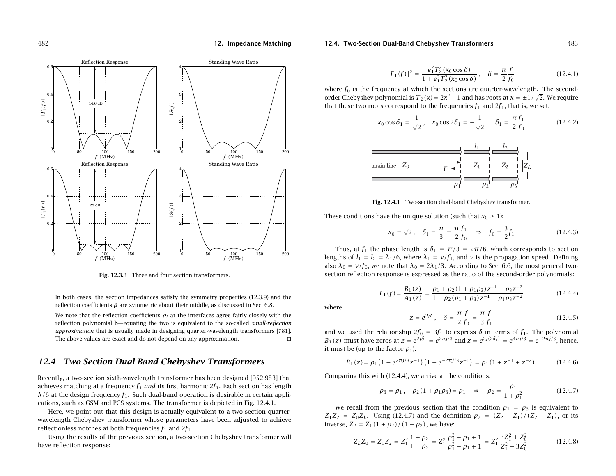

**Fig. 12.3.3** Three and four section transformers.

In both cases, the section impedances satisfy the symmetry properties (12.3.9) and the reflection coefficients  $\boldsymbol{\rho}$  are symmetric about their middle, as discussed in Sec. 6.8.

We note that the reflection coefficients  $\rho_i$  at the interfaces agree fairly closely with the reflection polynomial **b**—equating the two is equivalent to the so-called small-reflection approximation that is usually made in designing quarter-wavelength transformers [781]. The above values are exact and do not depend on any approximation.

# **12.4 Two-Section Dual-Band Chebyshev Transformers**

Recently, <sup>a</sup> two-section sixth-wavelength transformer has been designed [952,953] that achieves matching at a frequency  $f_1$  *and* its first harmonic  $2f_1$ . Each section has length  $\lambda/6$  at the design frequency  $f_1$ . Such dual-band operation is desirable in certain applications, such as GSM and PCS systems. The transformer is depicted in Fig. 12.4.1.

Here, we point out that this design is actually equivalent to <sup>a</sup> two-section quarterwavelength Chebyshev transformer whose parameters have been adjusted to achieve reflectionless notches at both frequencies  $f_1$  and  $2f_1.$ 

Using the results of the previous section, <sup>a</sup> two-section Chebyshev transformer will have reflection response:

#### **12.4. Two-Section Dual-Band Chebyshev Transformers** 483

$$
|\Gamma_1(f)|^2 = \frac{e_1^2 T_2^2(x_0 \cos \delta)}{1 + e_1^2 T_2^2(x_0 \cos \delta)}, \quad \delta = \frac{\pi}{2} \frac{f}{f_0}
$$
(12.4.1)

where  $f_0$  is the frequency at which the sections are quarter-wavelength. The secondorder Chebyshev polynomial is  $T_2(x) = 2x^2 - 1$  and has roots at  $x = \pm 1/\sqrt{2}$ . We require that these two roots correspond to the frequencies  $f_1$  and  $2f_1$ , that is, we set:

$$
x_0 \cos \delta_1 = \frac{1}{\sqrt{2}}, \quad x_0 \cos 2\delta_1 = -\frac{1}{\sqrt{2}}, \quad \delta_1 = \frac{\pi f_1}{2 f_0}
$$
 (12.4.2)



**Fig. 12.4.1** Two-section dual-band Chebyshev transformer.

These conditions have the unique solution (such that  $x_0 \geq 1$ ):

$$
x_0 = \sqrt{2}
$$
,  $\delta_1 = \frac{\pi}{3} = \frac{\pi}{2} \frac{f_1}{f_0} \Rightarrow f_0 = \frac{3}{2} f_1$  (12.4.3)

Thus, at  $f_1$  the phase length is  $\delta_1 = \pi/3 = 2\pi/6$ , which corresponds to section lengths of  $l_1 = l_2 = \lambda_1/6$ , where  $\lambda_1 = v/f_1$ , and v is the propagation speed. Defining also  $\lambda_0 = v/f_0$ , we note that  $\lambda_0 = 2\lambda_1/3$ . According to Sec. 6.6, the most general twosection reflection response is expressed as the ratio of the second-order polynomials:

$$
\Gamma_1(f) = \frac{B_1(z)}{A_1(z)} = \frac{\rho_1 + \rho_2 (1 + \rho_1 \rho_3) z^{-1} + \rho_3 z^{-2}}{1 + \rho_2 (\rho_1 + \rho_3) z^{-1} + \rho_1 \rho_3 z^{-2}}
$$
(12.4.4)

where

$$
z = e^{2j\delta}, \quad \delta = \frac{\pi}{2} \frac{f}{f_0} = \frac{\pi}{3} \frac{f}{f_1}
$$
 (12.4.5)

and we used the relationship  $2f_0 = 3f_1$  to express  $\delta$  in terms of  $f_1$ . The polynomial  $B_1(z)$  must have zeros at  $z = e^{2j\delta_1} = e^{2\pi j/3}$  and  $z = e^{2j(2\delta_1)} = e^{4\pi j/3} = e^{-2\pi j/3}$ , hence, it must be (up to the factor  $\rho_1$ ):

$$
B_1(z) = \rho_1 \left( 1 - e^{2\pi j/3} z^{-1} \right) \left( 1 - e^{-2\pi j/3} z^{-1} \right) = \rho_1 \left( 1 + z^{-1} + z^{-2} \right) \tag{12.4.6}
$$

Comparing this with (12.4.4), we arrive at the conditions:

$$
\rho_3 = \rho_1, \quad \rho_2 (1 + \rho_1 \rho_3) = \rho_1 \quad \Rightarrow \quad \rho_2 = \frac{\rho_1}{1 + \rho_1^2} \tag{12.4.7}
$$

We recall from the previous section that the condition  $\rho_1 = \rho_3$  is equivalent to  $Z_1Z_2 = Z_0Z_L$ . Using (12.4.7) and the definition  $\rho_2 = (Z_2 - Z_1)/(Z_2 + Z_1)$ , or its inverse,  $Z_2 = Z_1(1+\rho_2)/(1-\rho_2)$ , we have:

$$
Z_L Z_0 = Z_1 Z_2 = Z_1^2 \frac{1 + \rho_2}{1 - \rho_2} = Z_1^2 \frac{\rho_1^2 + \rho_1 + 1}{\rho_1^2 - \rho_1 + 1} = Z_1^2 \frac{3Z_1^2 + Z_0^2}{Z_1^2 + 3Z_0^2}
$$
(12.4.8)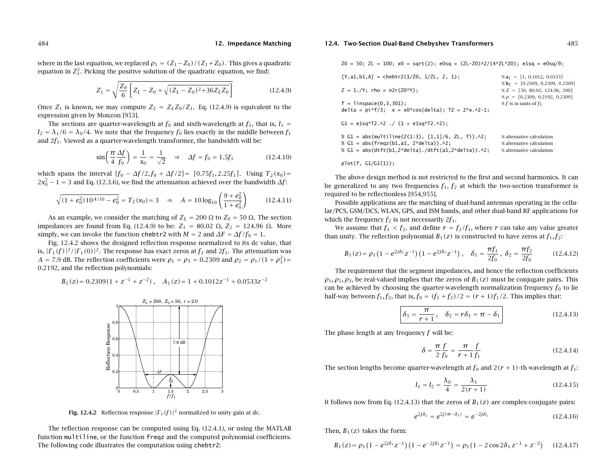where in the last equation, we replaced  $\rho_1$  =  $\left( Z_1 \! - \! Z_0 \right)$  /  $\left( Z_1 \! + \! Z_0 \right)$  . This gives a quadratic equation in  $\mathsf{Z}_1^2.$  Picking the positive solution of the quadratic equation, we find:

$$
Z_1 = \sqrt{\frac{Z_0}{6} \left[ Z_L - Z_0 + \sqrt{(Z_L - Z_0)^2 + 36 Z_L Z_0} \right]}
$$
(12.4.9)

Once  $Z_1$  is known, we may compute  $Z_2 = Z_L Z_0/Z_1$ . Eq. (12.4.9) is equivalent to the expression given by Monzon [953].

The sections are quarter-wavelength at  $f_0$  and sixth-wavelength at  $f_1$ , that is,  $l_1 =$  $l_2 = \lambda_1/6 = \lambda_0/4$ . We note that the frequency  $f_0$  lies exactly in the middle between  $f_1$ and  $2f_1$ . Viewed as a quarter-wavelength transformer, the bandwidth will be:

$$
\sin\left(\frac{\pi}{4}\frac{\Delta f}{f_0}\right) = \frac{1}{x_0} = \frac{1}{\sqrt{2}} \Rightarrow \Delta f = f_0 = 1.5f_1 \tag{12.4.10}
$$

which spans the interval  $[f_0 - \Delta f/2, f_0 + \Delta f/2] = [0.75f_1, 2.25f_1]$ . Using  $T_2(x_0) =$  $2x_0^2 - 1 = 3$  and Eq. (12.3.6), we find the attenuation achieved over the bandwidth  $\Delta f$ :

$$
\sqrt{(1 + e_0^2) 10^{A/10} - e_0^2} = T_2(x_0) = 3 \quad \Rightarrow \quad A = 10 \log_{10} \left( \frac{9 + e_0^2}{1 + e_0^2} \right) \tag{12.4.11}
$$

As an example, we consider the matching of  $Z_L$  = 200  $\Omega$  to  $Z_0$  = 50  $\Omega$ . The section impedances are found from Eq. (12.4.9) to be:  $Z_1 = 80.02$  Ω,  $Z_2 = 124.96$  Ω. More simply, we can invoke the function <code>chebtr2</code> with  $M=2$  and  $\Delta F=\Delta f/f_0=1.$ 

Fig. 12.4.2 shows the designed reflection response normalized to its dc value, that is,  $|\Gamma_1(f)\,|^2/|\Gamma_1(0)\,|^2.$  The response has exact zeros at  $f_1$  and  $2f_1.$  The attenuation was  $A = 7.9$  dB. The reflection coefficients were  $\rho_1 = \rho_3 = 0.2309$  and  $\rho_2 = \rho_1/(1+\rho_1^2)$ 0.2192, and the reflection polynomials:

$$
B_1(z) = 0.2309(1 + z^{-1} + z^{-2}), \quad A_1(z) = 1 + 0.1012z^{-1} + 0.0533z^{-2}
$$



**Fig. 12.4.2** Reflection response  $|\Gamma_1(f)|^2$  normalized to unity gain at dc.

The reflection response can be computed using Eq. (12.4.1), or using the MATLAB function multiline, or the function freqz and the computed polynomial coefficients. The following code illustrates the computation using chebtr2:

#### **12.4. Two-Section Dual-Band Chebyshev Transformers** 485

 $Z0 = 50$ ;  $ZL = 100$ ;  $x0 = sqrt(2)$ ;  $e0sq = (ZL-Z0) \frac{\lambda}{4} Z(L*Z0)$ ;  $e1sq = e0sq/9$ ;

| $[Y, a1, b1, A] = \text{chebrr2}(1/\text{Z0}, 1/\text{ZL}, 2, 1);$<br>$Z = 1./Y$ : rho = n2r(Z0*Y):<br>$f = 1$ inspace $(0, 3, 301)$ ;<br>delta = $pi * f/3$ ; x = $x0 * cos(de1ta)$ ; T2 = $2 * x. \land 2-1$ ; | $% a_1 = [1, 0.1012, 0.0533]$<br>$% \mathbf{b}_1 = [0.2309, 0.2309, 0.2309]$<br>$\% Z = [50, 80.02, 124.96, 200]$<br>$\% \rho = [0.2309, 0.2192, 0.2309]$<br>% f is in units of $f_1$ |
|------------------------------------------------------------------------------------------------------------------------------------------------------------------------------------------------------------------|---------------------------------------------------------------------------------------------------------------------------------------------------------------------------------------|
| $C1 = e1sq*T2.A2. / (1 + e1sq*T2.A2).$                                                                                                                                                                           |                                                                                                                                                                                       |
| % $G1 = abs(multiplace(Z(1:3), [1,1]/6, ZL, f)).$ ^2;<br>% $G1 = abs(freqz(b1, a1, 2*delta1, a)).$<br>% $G1 = abs(dtft(b1, 2*delta). /dtft(a1, 2*delta). \wedge 2;$                                              | % alternative calculation<br>% alternative calculation<br>% alternative calculation                                                                                                   |

The above design method is not restricted to the first and second harmonics. It can be generalized to any two frequencies  $f_1, f_2$  at which the two-section transformer is required to be reflectionless [954,955].

Possible applications are the matching of dual-band antennas operating in the cellular/PCS, GSM/DCS, WLAN, GPS, and ISM bands, and other dual-band RF applications for which the frequency  $f_2$  is not necessarily  $2f_1$ .

We assume that  $f_1 < f_2$ , and define  $r = f_2/f_1$ , where  $r$  can take any value greater than unity. The reflection polynomial  $B_1(z)$  is constructed to have zeros at  $f_1, f_2$ :

$$
B_1(z) = \rho_1 \left(1 - e^{2j\delta_1} z^{-1}\right) \left(1 - e^{2j\delta_2} z^{-1}\right), \quad \delta_1 = \frac{\pi f_1}{2f_0}, \ \delta_2 = \frac{\pi f_2}{2f_0} \tag{12.4.12}
$$

The requirement that the segment impedances, and hence the reflection coefficients  $\rho_1, \rho_2, \rho_3$ , be real-valued implies that the zeros of  $B_1(z)$  must be conjugate pairs. This can be achieved by choosing the quarter-wavelength normalization frequency  $f_0$  to lie half-way between  $f_1, f_2$ , that is,  $f_0 = (f_1 + f_2)/2 = (r + 1)f_1/2$ . This implies that:

$$
\delta_1 = \frac{\pi}{r+1}, \quad \delta_2 = r\delta_1 = \pi - \delta_1 \tag{12.4.13}
$$

The phase length at any frequency  $f$  will be:

plot(f, G1/G1(1));

$$
\delta = \frac{\pi}{2} \frac{f}{f_0} = \frac{\pi}{r+1} \frac{f}{f_1}
$$
 (12.4.14)

The section lengths become quarter-wavelength at  $f_0$  and  $2(r + 1)$ -th wavelength at  $f_1$ :

$$
l_1 = l_2 = \frac{\lambda_0}{4} = \frac{\lambda_1}{2(r+1)}
$$
 (12.4.15)

It follows now from Eq. (12.4.13) that the zeros of  $B_1(z)$  are complex-conjugate pairs:

$$
e^{2j\delta_2} = e^{2j(\pi - \delta_1)} = e^{-2j\delta_1} \tag{12.4.16}
$$

Then,  $B_1(z)$  takes the form:

$$
B_1(z) = \rho_1 \left( 1 - e^{2j\delta_1} z^{-1} \right) \left( 1 - e^{-2j\delta_1} z^{-1} \right) = \rho_1 \left( 1 - 2 \cos 2\delta_1 z^{-1} + z^{-2} \right) \tag{12.4.17}
$$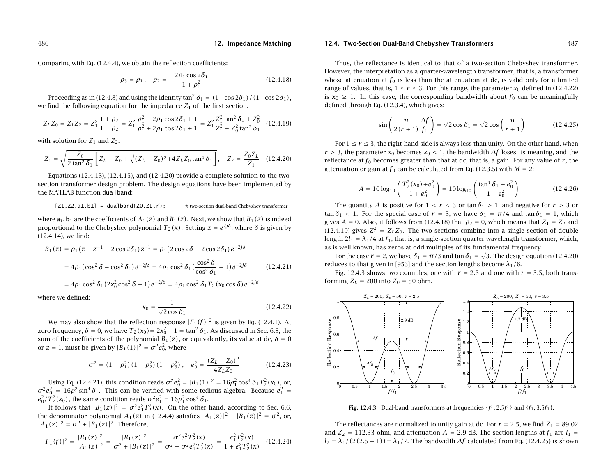Comparing with Eq. (12.4.4), we obtain the reflection coefficients:

$$
\rho_3 = \rho_1, \quad \rho_2 = -\frac{2\rho_1 \cos 2\delta_1}{1 + \rho_1^2} \tag{12.4.18}
$$

Proceeding as in (12.4.8) and using the identity tan $^2\,\delta_1 = (1\!-\!\cos2\delta_1)/(1\!+\!\cos2\delta_1)$  , we find the following equation for the impedance  $Z_1$  of the first section:

$$
Z_L Z_0 = Z_1 Z_2 = Z_1^2 \frac{1 + \rho_2}{1 - \rho_2} = Z_1^2 \frac{\rho_1^2 - 2\rho_1 \cos 2\delta_1 + 1}{\rho_1^2 + 2\rho_1 \cos 2\delta_1 + 1} = Z_1^2 \frac{Z_1^2 \tan^2 \delta_1 + Z_0^2}{Z_1^2 + Z_0^2 \tan^2 \delta_1}
$$
(12.4.19)

with solution for  $Z_1$  and  $Z_2$ :

$$
Z_1 = \sqrt{\frac{Z_0}{2\tan^2 \delta_1} \left[ Z_L - Z_0 + \sqrt{(Z_L - Z_0)^2 + 4Z_L Z_0 \tan^4 \delta_1} \right]}, \quad Z_2 = \frac{Z_0 Z_L}{Z_1} \quad (12.4.20)
$$

Equations  $(12.4.13)$ ,  $(12.4.15)$ , and  $(12.4.20)$  provide a complete solution to the twosection transformer design problem. The design equations have been implemented by the MATLAB function dualband:

$$
[Z1, Z2, a1, b1] = dualband(Z0, ZL, r);
$$
 % two-section dual-band Chebyshev transformer

where  $\mathbf{a}_1, \mathbf{b}_1$  are the coefficients of  $A_1(z)$  and  $B_1(z)$  . Next, we show that  $B_1(z)$  is indeed proportional to the Chebyshev polynomial  $T_2(x)$ . Setting  $z = e^{2j\delta}$ , where δ is given by (12.4.14), we find:

$$
B_1(z) = \rho_1 (z + z^{-1} - 2 \cos 2\delta_1) z^{-1} = \rho_1 (2 \cos 2\delta - 2 \cos 2\delta_1) e^{-2j\delta}
$$
  
=  $4\rho_1 (\cos^2 \delta - \cos^2 \delta_1) e^{-2j\delta} = 4\rho_1 \cos^2 \delta_1 (\frac{\cos^2 \delta}{\cos^2 \delta_1} - 1) e^{-2j\delta}$  (12.4.21)  
=  $4\rho_1 \cos^2 \delta_1 (2x_0^2 \cos^2 \delta - 1) e^{-2j\delta} = 4\rho_1 \cos^2 \delta_1 T_2 (x_0 \cos \delta) e^{-2j\delta}$ 

where we defined:

$$
x_0 = \frac{1}{\sqrt{2}\cos\delta_1} \tag{12.4.22}
$$

We may also show that the reflection response  $|\Gamma_1(f)|^2$  is given by Eq. (12.4.1). At zero frequency,  $\delta = 0$ , we have  $T_2(x_0) = 2x_0^2 - 1 = \tan^2 \delta_1$ . As discussed in Sec. 6.8, the sum of the coefficients of the polynomial  $B_1(z)$ , or equivalently, its value at dc,  $\delta = 0$ or  $z = 1$ , must be given by  $|B_1(1)|^2 = \sigma^2 e_0^2$ , where

$$
\sigma^2 = (1 - \rho_1^2) (1 - \rho_2^2) (1 - \rho_3^2), \quad e_0^2 = \frac{(Z_L - Z_0)^2}{4Z_L Z_0}
$$
 (12.4.23)

Using Eq. (12.4.21), this condition reads  $\sigma^2e_0^2=|B_1(1)|^2=16\rho_1^2\cos^4\delta_1T_2^2(x_0)$ , or,  $\sigma^2 e_0^2\,=\,16\rho_1^2\sin^4\delta_1.$  This can be verified with some tedious algebra. Because  $e_1^2\,=\,$  $e_0^2/T_2^2(x_0)$ , the same condition reads  $\sigma^2 e_1^2 = 16 \rho_1^2 \cos^4 \delta_1$ .

It follows that  $|B_1(z)|^2 = \sigma^2 e_1^2 T_2^2(x)$ . On the other hand, according to Sec. 6.6, the denominator polynomial  $A_1(z)$  in (12.4.4) satisfies  $|A_1(z)|^2 - |B_1(z)|^2 = \sigma^2$ , or,  $|A_1(z)|^2 = \sigma^2 + |B_1(z)|^2$ . Therefore,

$$
|\Gamma_1(f)|^2 = \frac{|B_1(z)|^2}{|A_1(z)|^2} = \frac{|B_1(z)|^2}{\sigma^2 + |B_1(z)|^2} = \frac{\sigma^2 e_1^2 T_2^2(x)}{\sigma^2 + \sigma^2 e_1^2 T_2^2(x)} = \frac{e_1^2 T_2^2(x)}{1 + e_1^2 T_2^2(x)} \quad (12.4.24)
$$

#### **12.4. Two-Section Dual-Band Chebyshev Transformers** 487

Thus, the reflectance is identical to that of <sup>a</sup> two-section Chebyshev transformer. However, the interpretation as <sup>a</sup> quarter-wavelength transformer, that is, <sup>a</sup> transformer

whose attenuation at  $f_0$  is less than the attenuation at dc, is valid only for a limited range of values, that is,  $1 \le r \le 3$ . For this range, the parameter  $x_0$  defined in (12.4.22) is  $x_0 \geq 1$ . In this case, the corresponding bandwidth about  $f_0$  can be meaningfully defined through Eq. (12.3.4), which gives:

$$
\sin\left(\frac{\pi}{2(r+1)}\frac{\Delta f}{f_1}\right) = \sqrt{2}\cos\delta_1 = \sqrt{2}\cos\left(\frac{\pi}{r+1}\right) \tag{12.4.25}
$$

For  $1\leq r\leq 3,$  the right-hand side is always less than unity. On the other hand, when  $r > 3$ , the parameter  $x_0$  becomes  $x_0 < 1$ , the bandwidth  $\Delta f$  loses its meaning, and the reflectance at  $f_0$  becomes greater than that at dc, that is, a gain. For any value of  $r$ , the attenuation or gain at  $f_0$  can be calculated from Eq. (12.3.5) with  $M=2$ :

$$
A = 10 \log_{10} \left( \frac{T_2^2(x_0) + e_0^2}{1 + e_0^2} \right) = 10 \log_{10} \left( \frac{\tan^4 \delta_1 + e_0^2}{1 + e_0^2} \right)
$$
(12.4.26)

The quantity A is positive for  $1 < r < 3$  or tan  $\delta_1 > 1$ , and negative for  $r > 3$  or tan  $\delta_1$  < 1. For the special case of  $r = 3$ , we have  $\delta_1 = \pi/4$  and tan  $\delta_1 = 1$ , which gives  $A = 0$ . Also, it follows from (12.4.18) that  $\rho_2 = 0$ , which means that  $Z_1 = Z_2$  and (12.4.19) gives  $Z_1^2 = Z_L Z_0$ . The two sections combine into a single section of double length 2 $l_1 = \lambda_1/4$  at  $f_1$ , that is, a single-section quarter wavelength transformer, which, as is well known, has zeros at odd multiples of its fundamental frequency.

For the case  $r=$  2, we have  $\delta_1 = \pi/3$  and tan  $\delta_1 = \sqrt{3}.$  The design equation (12.4.20) reduces to that given in [953] and the section lengths become  $\lambda_1/6$ .

Fig. 12.4.3 shows two examples, one with  $r = 2.5$  and one with  $r = 3.5$ , both transforming  $Z_L$  = 200 into  $Z_0$  = 50 ohm.



**Fig. 12.4.3** Dual-band transformers at frequencies  $\{f_1, 2.5f_1\}$  and  $\{f_1, 3.5f_1\}$ .

The reflectances are normalized to unity gain at dc. For  $r = 2.5$ , we find  $Z_1 = 89.02$ and  $Z_2 = 112.33$  ohm, and attenuation  $A = 2.9$  dB. The section lengths at  $f_1$  are  $l_1 =$  $d_2 = \lambda_1/(2(2.5+1)) = \lambda_1/7$ . The bandwidth  $\Delta f$  calculated from Eq. (12.4.25) is shown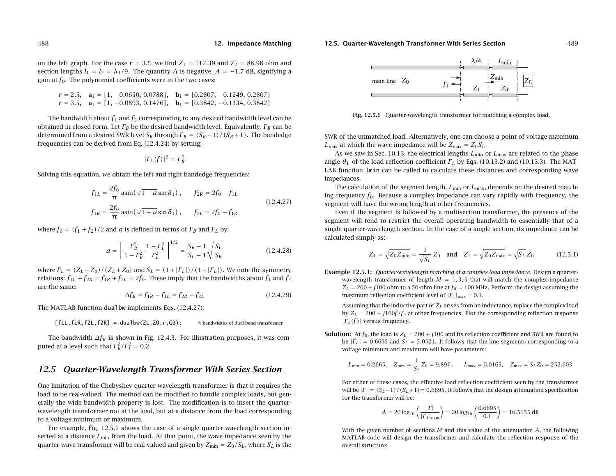#### **12.5. Quarter-Wavelength Transformer With Series Section** 489

**12. Impedance Matching**

on the left graph. For the case  $r = 3.5$ , we find  $Z_1 = 112.39$  and  $Z_2 = 88.98$  ohm and section lengths  $l_1 = l_2 = \lambda_1/9$ . The quantity A is negative,  $A = -1.7$  dB, signifying a gain at  $f_0$ . The polynomial coefficients were in the two cases:

$$
r = 2.5
$$
,  $\mathbf{a}_1 = [1, 0.0650, 0.0788]$ ,  $\mathbf{b}_1 = [0.2807, 0.1249, 0.2807]$   
\n $r = 3.5$ ,  $\mathbf{a}_1 = [1, -0.0893, 0.1476]$ ,  $\mathbf{b}_1 = [0.3842, -0.1334, 0.3842]$ 

The bandwidth about  $f_1$  and  $f_2$  corresponding to any desired bandwidth level can be obtained in closed form. Let  $\varGamma_B$  be the desired bandwidth level. Equivalently,  $\varGamma_B$  can be determined from a desired SWR level  $S_B$  through  $\varGamma_B = (S_B-1)\,/\,(S_B+1)$  . The bandedge frequencies can be derived from Eq. (12.4.24) by setting:

$$
|\Gamma_1(f)|^2 = \Gamma_B^2
$$

Solving this equation, we obtain the left and right bandedge frequencies:

$$
f_{1L} = \frac{2f_0}{\pi} \operatorname{asin}(\sqrt{1 - a} \sin \delta_1), \qquad f_{2R} = 2f_0 - f_{1L}
$$
  
\n
$$
f_{1R} = \frac{2f_0}{\pi} \operatorname{asin}(\sqrt{1 + a} \sin \delta_1), \qquad f_{2L} = 2f_0 - f_{1R}
$$
\n(12.4.27)

where  $f_0 = (f_1 + f_2)/2$  and a is defined in terms of  $\Gamma_B$  and  $\Gamma_L$  by:

$$
a = \left[\frac{\Gamma_B^2}{1 - \Gamma_B^2} \frac{1 - \Gamma_L^2}{\Gamma_L^2}\right]^{1/2} = \frac{S_B - 1}{S_L - 1} \sqrt{\frac{S_L}{S_B}}
$$
(12.4.28)

where  $\Gamma_L = (Z_L - Z_0)/(Z_L + Z_0)$  and  $S_L = (1 + |\Gamma_L|)/(1 - |\Gamma_L|)$ . We note the symmetry relations:  $f_{1L} + f_{2R} = f_{1R} + f_{2L} = 2f_0$ . These imply that the bandwidths about  $f_1$  and  $f_2$ are the same:

$$
\Delta f_B = f_{1R} - f_{1L} = f_{2R} - f_{2L} \tag{12.4.29}
$$

The MATLAB function dualbw implements Eqs. (12.4.27):

 $[fill, f2L, f2R] = dualbw(ZL, Z0, r, GB);$  % bandwidths of dual-band transformer

The bandwidth  $\Delta f_B$  is shown in Fig. 12.4.3. For illustration purposes, it was computed at a level such that  $\Gamma_B^2/\Gamma_L^2=0.2.$ 

# **12.5 Quarter-Wavelength Transformer With Series Section**

One limitation of the Chebyshev quarter-wavelength transformer is that it requires the load to be real-valued. The method can be modified to handle complex loads, but generally the wide bandwidth property is lost. The modification is to insert the quarterwavelength transformer not at the load, but at <sup>a</sup> distance from the load corresponding to <sup>a</sup> voltage minimum or maximum.

For example, Fig. 12.5.1 shows the case of <sup>a</sup> single quarter-wavelength section inserted at a distance  $L_{\text{min}}$  from the load. At that point, the wave impedance seen by the quarter-wave transformer will be real-valued and given by  $Z_{\rm min} = Z_0/S_L$ , where  $S_L$  is the



**Fig. 12.5.1** Quarter-wavelength transformer for matching <sup>a</sup> complex load.

SWR of the unmatched load. Alternatively, one can choose <sup>a</sup> point of voltage maximum  $L_{\rm max}$  at which the wave impedance will be  $Z_{\rm max}$  =  $Z_0 S_L.$ 

As we saw in Sec. 10.13, the electrical lengths  $L_{\rm min}$  or  $L_{\rm max}$  are related to the phase angle  $\theta_L$  of the load reflection coefficient  $\Gamma_L$  by Eqs. (10.13.2) and (10.13.3). The MAT-LAB function lmin can be called to calculate these distances and corresponding wave impedances.

The calculation of the segment length,  $L_{\rm min}$  or  $L_{\rm max}$ , depends on the desired matching frequency  $f_0$ . Because a complex impedance can vary rapidly with frequency, the segment will have the wrong length at other frequencies.

Even if the segment is followed by <sup>a</sup> multisection transformer, the presence of the segment will tend to restrict the overall operating bandwidth to essentially that of <sup>a</sup> single quarter-wavelength section. In the case of <sup>a</sup> single section, its impedance can be calculated simply as:

$$
Z_1 = \sqrt{Z_0 Z_{\text{min}}} = \frac{1}{\sqrt{S_L}} Z_0
$$
 and  $Z_1 = \sqrt{Z_0 Z_{\text{max}}} = \sqrt{S_L} Z_0$  (12.5.1)

**Example 12.5.1:** Quarter-wavelength matching of <sup>a</sup> complex load impedance. Design <sup>a</sup> quarterwavelength transformer of length  $M = 1, 3, 5$  that will match the complex impedance  $Z_L = 200 + j100$  ohm to a 50-ohm line at  $f_0 = 100$  MHz. Perform the design assuming the maximum reflection coefficient level of  $|\varGamma_1|_{\max} = 0.1.$ 

Assuming that the inductive part of  $Z_L$  arises from an inductance, replace the complex load by  $Z_L = 200 + j100f/f_0$  at other frequencies. Plot the corresponding reflection response  $| \Gamma_1(f) |$  versus frequency.

**Solution:** At  $f_0$ , the load is  $Z_L = 200 + j100$  and its reflection coefficient and SWR are found to be  $|\Gamma_L| = 0.6695$  and  $S_L = 5.0521$ . It follows that the line segments corresponding to a voltage minimum and maximum will have parameters:

$$
L_{\text{min}} = 0.2665
$$
,  $Z_{\text{min}} = \frac{1}{S_L} Z_0 = 9.897$ ,  $L_{\text{max}} = 0.0165$ ,  $Z_{\text{max}} = S_L Z_0 = 252.603$ 

For either of these cases, the effective load reflection coefficient seen by the transformer will be  $|\Gamma| = (S_L-1)/(S_L+1) = 0.6695$ . It follows that the design attenuation specification for the transformer will be:

$$
A = 20 \log_{10} \left( \frac{| \Gamma |}{| \Gamma_1 |_{\text{max}}} \right) = 20 \log_{10} \left( \frac{0.6695}{0.1} \right) = 16.5155 \text{ dB}
$$

With the given number of sections  $M$  and this value of the attenuation  $A$ , the following MATLAB code will design the transformer and calculate the reflection response of the overall structure: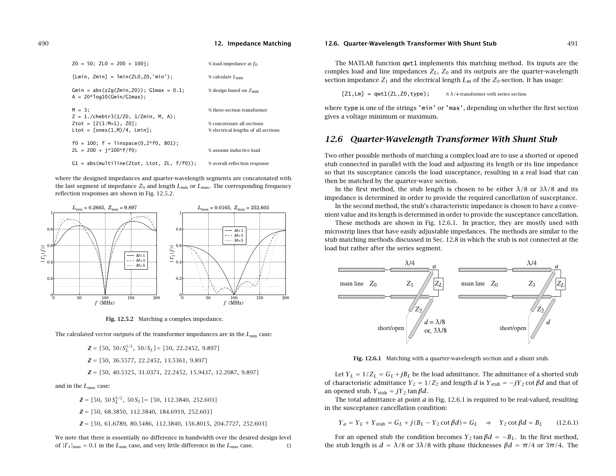| $Z0 = 50$ ; $ZL0 = 200 + 100$ i;                                                                                      | % load impedance at $f_0$                                          |
|-----------------------------------------------------------------------------------------------------------------------|--------------------------------------------------------------------|
| $[Lmin, Zmin] = Imin(ZL0, Z0, 'min');$                                                                                | % calculate $L_{\text{min}}$                                       |
| Gmin = $abs(z2q(Zmin, Z0))$ ; G1max = 0.1;<br>$A = 20*log10(Gmin/G1max)$ ;                                            | % design based on $Z_{\text{min}}$                                 |
| $M = 3:$                                                                                                              | % three-section transformer                                        |
| $Z = 1$ ./chebtr3(1/Z0. 1/Zmin. M. A):<br>$Ztot = [Z(1:M+1), Z0]$ :<br>$Ltot = \lceil \text{ones}(1.M)/4$ . $Lmin$ ]: | % concatenate all sections<br>% electrical lengths of all sections |
| $f0 = 100$ ; $f = \text{linspace}(0, 2 \cdot f0, 801)$ ;<br>$ZL = 200 + i*100* f/f0$ ;                                | % assume inductive load                                            |
| $G1 = abs(multiline(Ztot, Ltot, ZL, f/f0))$ :                                                                         | % overall reflection response                                      |

where the designed impedances and quarter-wavelength segments are concatenated with the last segment of impedance  $Z_0$  and length  $L_{\rm min}$  or  $L_{\rm max}$ . The corresponding frequency reflection responses are shown in Fig. 12.5.2.





The calculated vector outputs of the transformer impedances are in the  $L_{\rm min}$  case:

 $Z = [50, 50/S_L^{1/2}, 50/S_L] = [50, 22.2452, 9.897]$ 

**Z** <sup>=</sup> [50, 36.5577, 22.2452, 13.5361, 9.897]

**Z** <sup>=</sup> [50, 40.5325, 31.0371, 22.2452, 15.9437, 12.2087, 9.897]

and in the  $L_{\rm max}$  case:

 $\mathbf{Z} = [50, 50 S_L^{1/2}, 50 S_L] = [50, 112.3840, 252.603]$ 

**Z** <sup>=</sup> [50, 68.3850, 112.3840, 184.6919, 252.603]

**Z** <sup>=</sup> [50, 61.6789, 80.5486, 112.3840, 156.8015, 204.7727, 252.603]

We note that there is essentially no difference in bandwidth over the desired design level of  $|\Gamma_1|_{\text{max}} = 0.1$  in the  $L_{\text{min}}$  case, and very little difference in the  $L_{\text{max}}$  case.

#### **12.6. Quarter-Wavelength Transformer With Shunt Stub** 491

The MATLAB function qwt1 implements this matching method. Its inputs are the complex load and line impedances  $Z_L$ ,  $Z_0$  and its outputs are the quarter-wavelength section impedance  $Z_1$  and the electrical length  $L_m$  of the  $Z_0$ -section. It has usage:

 $[Z1, Lm] = qwt1(ZL, Z0, type);$  %  $\lambda/4$ -transformer with series section

where type is one of the strings 'min' or 'max', depending on whether the first section gives <sup>a</sup> voltage minimum or maximum.

# **12.6 Quarter-Wavelength Transformer With Shunt Stub**

Two other possible methods of matching <sup>a</sup> complex load are to use <sup>a</sup> shorted or opened stub connected in parallel with the load and adjusting its length or its line impedance so that its susceptance cancels the load susceptance, resulting in <sup>a</sup> real load that can then be matched by the quarter-wave section.

In the first method, the stub length is chosen to be either  $\lambda/8$  or  $3\lambda/8$  and its impedance is determined in order to provide the required cancellation of susceptance.

In the second method, the stub's characteristic impedance is chosen to have <sup>a</sup> convenient value and its length is determined in order to provide the susceptance cancellation.

These methods are shown in Fig. 12.6.1. In practice, they are mostly used with microstrip lines that have easily adjustable impedances. The methods are similar to the stub matching methods discussed in Sec. 12.8 in which the stub is not connected at the load but rather after the series segment.



**Fig. 12.6.1** Matching with <sup>a</sup> quarter-wavelength section and <sup>a</sup> shunt stub.

Let  $Y_L = 1/Z_L = G_L + jB_L$  be the load admittance. The admittance of a shorted stub of characteristic admittance  $Y_2 = 1/Z_2$  and length d is  $Y_{\text{stab}} = -jY_2$  cot  $\beta d$  and that of an opened stub,  ${Y}_{\rm stub} = {j} {Y}_2$  tan  $\beta d.$ 

The total admittance at point  $a$  in Fig. 12.6.1 is required to be real-valued, resulting in the susceptance cancellation condition:

$$
Y_a = Y_L + Y_{\text{stab}} = G_L + j(B_L - Y_2 \cot \beta d) = G_L \Rightarrow Y_2 \cot \beta d = B_L \quad (12.6.1)
$$

For an opened stub the condition becomes  $Y_2$  tan  $\beta d = -B_L$ . In the first method, the stub length is  $d = \lambda/8$  or  $3\lambda/8$  with phase thicknesses  $\beta d = \pi/4$  or  $3\pi/4$ . The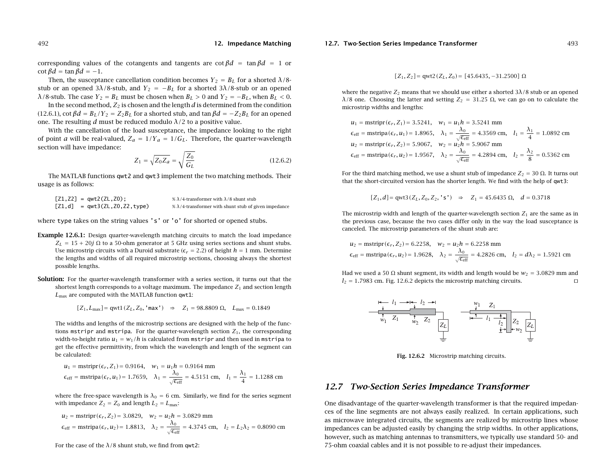corresponding values of the cotangents and tangents are cot  $\beta d = \tan \beta d = 1$  or cot  $\beta d = \tan \beta d = -1$ .

Then, the susceptance cancellation condition becomes  $Y_2 = B_L$  for a shorted  $\lambda/8$ stub or an opened 3 $\lambda/8$ -stub, and  $Y_2 = -B_L$  for a shorted 3 $\lambda/8$ -stub or an opened  $\lambda$ /8-stub. The case  $Y_2 = B_L$  must be chosen when  $B_L > 0$  and  $Y_2 = -B_L$ , when  $B_L < 0$ .

In the second method,  $Z_2$  is chosen and the length  $d$  is determined from the condition (12.6.1), cot  $\beta d = B_L/Y_2 = Z_2B_L$  for a shorted stub, and tan  $\beta d = -Z_2B_L$  for an opened one. The resulting d must be reduced modulo  $\lambda/2$  to a positive value.

With the cancellation of the load susceptance, the impedance looking to the right of point *a* will be real-valued,  $Z_a = 1/Y_a = 1/G_L$ . Therefore, the quarter-wavelength section will have impedance:

$$
Z_1 = \sqrt{Z_0 Z_a} = \sqrt{\frac{Z_0}{G_L}}
$$
 (12.6.2)

The MATLAB functions qwt2 and qwt3 implement the two matching methods. Their usage is as follows:

| $[Z1, Z2] = qwt2(ZL, Z0);$     | % $\lambda$ /4-transformer with $\lambda$ /8 shunt stub       |
|--------------------------------|---------------------------------------------------------------|
| $[Z1,d] = qwt3(ZL,Z0,Z2,type)$ | % $\lambda$ /4-transformer with shunt stub of given impedance |

where type takes on the string values 's' or 'o' for shorted or opened stubs.

- **Example 12.6.1:** Design quarter-wavelength matching circuits to match the load impedance  $Z_L = 15 + 20j \Omega$  to a 50-ohm generator at 5 GHz using series sections and shunt stubs. Use microstrip circuits with a Duroid substrate ( $\epsilon_r = 2.2$ ) of height  $h=1$  mm. Determine the lengths and widths of all required microstrip sections, choosing always the shortest possible lengths.
- **Solution:** For the quarter-wavelength transformer with <sup>a</sup> series section, it turns out that the shortest length corresponds to a voltage maximum. The impedance  $Z_1$  and section length  $L_{\rm max}$  are computed with the MATLAB function <code>qwt1:</code>

$$
[Z_1, L_{\text{max}}] = \text{qwt1}(Z_L, Z_0, \text{'max'}) \Rightarrow Z_1 = 98.8809 \Omega, L_{\text{max}} = 0.1849
$$

The widths and lengths of the microstrip sections are designed with the help of the functions mstripr and mstripa. For the quarter-wavelength section  $Z_1$ , the corresponding width-to-height ratio  $u_1 = w_1/h$  is calculated from <code>mstripr</code> and then used in <code>mstripa</code> to get the effective permittivity, from which the wavelength and length of the segment can be calculated:

$$
u_1
$$
 = mstrip( $\epsilon_r$ , Z<sub>1</sub>) = 0.9164,  $w_1 = u_1 h$  = 0.9164 mm  
\n $\epsilon_{eff}$  = mstripa( $\epsilon_r$ , u<sub>1</sub>) = 1.7659,  $\lambda_1 = \frac{\lambda_0}{\sqrt{\epsilon_{eff}}}$  = 4.5151 cm,  $l_1 = \frac{\lambda_1}{4}$  = 1.1288 cm

where the free-space wavelength is  $\lambda_0 = 6$  cm. Similarly, we find for the series segment with impedance  $Z_2=Z_0$  and length  $L_2=L_{\rm max}$ :

$$
u_2
$$
 = mstripr( $\epsilon_r$ ,  $Z_2$ ) = 3.0829,  $w_2 = u_2 h$  = 3.0829 mm  
\n $\epsilon_{eff}$  = mstripa( $\epsilon_r$ ,  $u_2$ ) = 1.8813,  $\lambda_2 = \frac{\lambda_0}{\sqrt{\epsilon_{eff}}}$  = 4.3745 cm,  $l_2 = L_2 \lambda_2$  = 0.8090 cm

For the case of the  $\lambda/8$  shunt stub, we find from qwt2:

#### **12.7. Two-Section Series Impedance Transformer** 493

$$
[Z_1, Z_2]
$$
 = qwt2 $(Z_L, Z_0)$  = [45.6435, -31.2500]  $\Omega$ 

where the negative  $Z_2$  means that we should use either a shorted 3 $\lambda/8$  stub or an opened  $λ/8$  one. Choosing the latter and setting  $Z_2\,=\,31.25$  Ω, we can go on to calculate the microstrip widths and lengths:

$$
u_1 = \text{mstripr}(\epsilon_r, Z_1) = 3.5241, \quad w_1 = u_1 h = 3.5241 \text{ mm}
$$
\n
$$
\epsilon_{\text{eff}} = \text{mstripa}(\epsilon_r, u_1) = 1.8965, \quad \lambda_1 = \frac{\lambda_0}{\sqrt{\epsilon_{\text{eff}}}} = 4.3569 \text{ cm}, \quad l_1 = \frac{\lambda_1}{4} = 1.0892 \text{ cm}
$$
\n
$$
u_2 = \text{mstripr}(\epsilon_r, Z_2) = 5.9067, \quad w_2 = u_2 h = 5.9067 \text{ mm}
$$
\n
$$
\epsilon_{\text{eff}} = \text{mstripa}(\epsilon_r, u_2) = 1.9567, \quad \lambda_2 = \frac{\lambda_0}{\sqrt{\epsilon_{\text{eff}}}} = 4.2894 \text{ cm}, \quad l_2 = \frac{\lambda_2}{8} = 0.5362 \text{ cm}
$$

For the third matching method, we use a shunt stub of impedance  $Z_2 = 30$  Ω. It turns out that the short-circuited version has the shorter length. We find with the help of qwt3:

$$
[Z_1, d] = \text{qwt3}(Z_L, Z_0, Z_2, \text{'s'}) \Rightarrow Z_1 = 45.6435 \Omega, \quad d = 0.3718
$$

The microstrip width and length of the quarter-wavelength section  $\boldsymbol{Z_1}$  are the same as in the previous case, because the two cases differ only in the way the load susceptance is canceled. The microstrip parameters of the shunt stub are:

$$
u_2
$$
 = mstripr( $\epsilon_r$ ,  $Z_2$ ) = 6.2258,  $w_2 = u_2 h$  = 6.2258 mm  
\n $\epsilon_{eff}$  = mstripa( $\epsilon_r$ ,  $u_2$ ) = 1.9628,  $\lambda_2 = \frac{\lambda_0}{\sqrt{\epsilon_{eff}}}$  = 4.2826 cm,  $l_2 = d\lambda_2$  = 1.5921 cm

Had we used a 50  $\Omega$  shunt segment, its width and length would be  $w_2 = 3.0829$  mm and  $l_2 = 1.7983$  cm. Fig. 12.6.2 depicts the microstrip matching circuits.



**Fig. 12.6.2** Microstrip matching circuits.

# **12.7 Two-Section Series Impedance Transformer**

One disadvantage of the quarter-wavelength transformer is that the required impedances of the line segments are not always easily realized. In certain applications, such as microwave integrated circuits, the segments are realized by microstrip lines whose impedances can be adjusted easily by changing the strip widths. In other applications, however, such as matching antennas to transmitters, we typically use standard 50- and 75-ohm coaxial cables and it is not possible to re-adjust their impedances.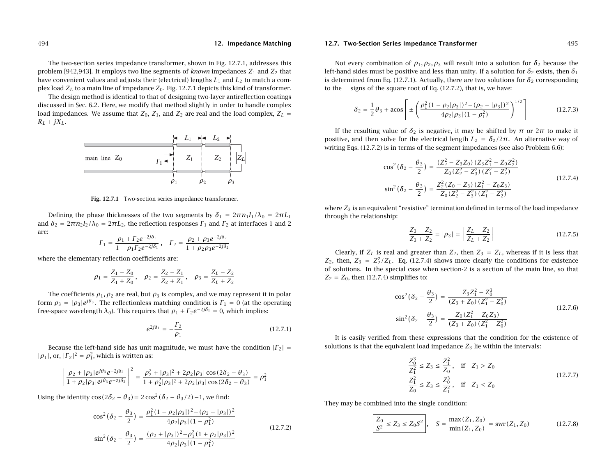The two-section series impedance transformer, shown in Fig. 12.7.1, addresses this problem [942,943]. It employs two line segments of *known* impedances  $Z_1$  and  $Z_2$  that have convenient values and adjusts their (electrical) lengths  $L_1$  and  $L_2$  to match a complex load  $Z_L$  to a main line of impedance  $Z_0.$  Fig. 12.7.1 depicts this kind of transformer.

The design method is identical to that of designing two-layer antireflection coatings discussed in Sec. 6.2. Here, we modify that method slightly in order to handle complex load impedances. We assume that  $Z_0, Z_1,$  and  $Z_2$  are real and the load complex,  $Z_L =$  $R_L + jX_L$ .



**Fig. 12.7.1** Two-section series impedance transformer.

Defining the phase thicknesses of the two segments by  $\delta_1$  =  $2\pi n_1 l_1/\lambda_0$  =  $2\pi L_1$ and  $\delta_2 = 2\pi n_2 l_2/\lambda_0 = 2\pi L_2$ , the reflection responses  $\Gamma_1$  and  $\Gamma_2$  at interfaces 1 and 2 are:

$$
\Gamma_1 = \frac{\rho_1 + \Gamma_2 e^{-2j\delta_1}}{1 + \rho_1 \Gamma_2 e^{-2j\delta_1}}, \quad \Gamma_2 = \frac{\rho_2 + \rho_3 e^{-2j\delta_2}}{1 + \rho_2 \rho_3 e^{-2j\delta_2}}
$$

where the elementary reflection coefficients are:

-1 I I I I

$$
\rho_1 = \frac{Z_1 - Z_0}{Z_1 + Z_0}, \quad \rho_2 = \frac{Z_2 - Z_1}{Z_2 + Z_1}, \quad \rho_3 = \frac{Z_L - Z_2}{Z_L + Z_2}
$$

The coefficients  $\rho_1, \rho_2$  are real, but  $\rho_3$  is complex, and we may represent it in polar form  $\rho_3 = |\rho_3|e^{j\theta_3}$ . The reflectionless matching condition is  $\Gamma_1 = 0$  (at the operating free-space wavelength  $\lambda_0$ ). This requires that  $\rho_1 + \Gamma_2 e^{-2j\delta_1} = 0$ , which implies:

$$
e^{2j\delta_1} = -\frac{\Gamma_2}{\rho_1} \tag{12.7.1}
$$

Because the left-hand side has unit magnitude, we must have the condition  $|\Gamma_2|$  =  $|\rho_1|$ , or,  $|\Gamma_2|^2 = \rho_1^2$ , which is written as:

$$
\frac{\rho_2 + |\rho_3|e^{j\theta_3}e^{-2j\delta_2}}{1 + \rho_2|\rho_3|e^{j\theta_3}e^{-2j\delta_2}}\Big|^2 = \frac{\rho_2^2 + |\rho_3|^2 + 2\rho_2|\rho_3|\cos(2\delta_2 - \theta_3)}{1 + \rho_2^2|\rho_3|^2 + 2\rho_2|\rho_3|\cos(2\delta_2 - \theta_3)} = \rho_1^2
$$

Using the identity cos( $2\delta_2 - \theta_3$ ) = 2 cos<sup>2</sup>( $\delta_2 - \theta_3$ /2)−1, we find:

$$
\cos^2(\delta_2 - \frac{\theta_3}{2}) = \frac{\rho_1^2 (1 - \rho_2 |\rho_3|)^2 - (\rho_2 - |\rho_3|)^2}{4\rho_2 |\rho_3| (1 - \rho_1^2)}
$$
  

$$
\sin^2(\delta_2 - \frac{\theta_3}{2}) = \frac{(\rho_2 + |\rho_3|)^2 - \rho_1^2 (1 + \rho_2 |\rho_3|)^2}{4\rho_2 |\rho_3| (1 - \rho_1^2)}
$$
(12.7.2)

#### **12.7. Two-Section Series Impedance Transformer** 495

Not every combination of  $\rho_1, \rho_2, \rho_3$  will result into a solution for  $\delta_2$  because the left-hand sides must be positive and less than unity. If a solution for  $\delta_2$  exists, then  $\delta_1$ is determined from Eq. (12.7.1). Actually, there are two solutions for  $\delta_2$  corresponding to the  $\pm$  signs of the square root of Eq. (12.7.2), that is, we have:

$$
\delta_2 = \frac{1}{2}\theta_3 + \arccos\left[\pm\left(\frac{\rho_1^2(1-\rho_2|\rho_3|)^2 - (\rho_2 - |\rho_3|)^2}{4\rho_2|\rho_3|(1-\rho_1^2)}\right)^{1/2}\right]
$$
(12.7.3)

If the resulting value of  $\delta_2$  is negative, it may be shifted by  $\pi$  or 2 $\pi$  to make it positive, and then solve for the electrical length  $L_2 = \delta_2/2\pi$ . An alternative way of writing Eqs. (12.7.2) is in terms of the segment impedances (see also Problem 6.6):

$$
\cos^{2}(\delta_{2} - \frac{\theta_{3}}{2}) = \frac{(Z_{2}^{2} - Z_{3}Z_{0})(Z_{3}Z_{1}^{2} - Z_{0}Z_{2}^{2})}{Z_{0}(Z_{2}^{2} - Z_{3}^{2})(Z_{1}^{2} - Z_{2}^{2})}
$$
\n
$$
\sin^{2}(\delta_{2} - \frac{\theta_{3}}{2}) = \frac{Z_{2}^{2}(Z_{0} - Z_{3})(Z_{1}^{2} - Z_{0}Z_{3})}{Z_{0}(Z_{2}^{2} - Z_{3}^{2})(Z_{1}^{2} - Z_{2}^{2})}
$$
\n(12.7.4)

where  $Z_3$  is an equivalent "resistive" termination defined in terms of the load impedance through the relationship:

$$
\frac{Z_3 - Z_2}{Z_3 + Z_2} = |\rho_3| = \left| \frac{Z_L - Z_2}{Z_L + Z_2} \right|
$$
\n(12.7.5)

Clearly, if  $Z_L$  is real and greater than  $Z_2$ , then  $Z_3 = Z_L$ , whereas if it is less that  $Z_2$ , then,  $Z_3 = Z_2^2/Z_L$ . Eq. (12.7.4) shows more clearly the conditions for existence of solutions. In the special case when section-2 is <sup>a</sup> section of the main line, so that  $Z_2 = Z_0$ , then (12.7.4) simplifies to:

$$
\cos^{2}(\delta_{2} - \frac{\theta_{3}}{2}) = \frac{Z_{3}Z_{1}^{2} - Z_{0}^{3}}{(Z_{3} + Z_{0})(Z_{1}^{2} - Z_{0}^{2})}
$$
  

$$
\sin^{2}(\delta_{2} - \frac{\theta_{3}}{2}) = \frac{Z_{0}(Z_{1}^{2} - Z_{0}Z_{3})}{(Z_{3} + Z_{0})(Z_{1}^{2} - Z_{0}^{2})}
$$
(12.7.6)

It is easily verified from these expressions that the condition for the existence of solutions is that the equivalent load impedance  $Z_3$  lie within the intervals:

$$
\frac{Z_0^3}{Z_1^2} \le Z_3 \le \frac{Z_1^2}{Z_0}, \quad \text{if} \quad Z_1 > Z_0
$$
\n
$$
\frac{Z_1^2}{Z_0} \le Z_3 \le \frac{Z_0^3}{Z_1^2}, \quad \text{if} \quad Z_1 < Z_0
$$
\n(12.7.7)

They may be combined into the single condition:

$$
\left[\frac{Z_0}{S^2} \le Z_3 \le Z_0 S^2\right], \quad S = \frac{\max(Z_1, Z_0)}{\min(Z_1, Z_0)} = \text{swr}(Z_1, Z_0) \tag{12.7.8}
$$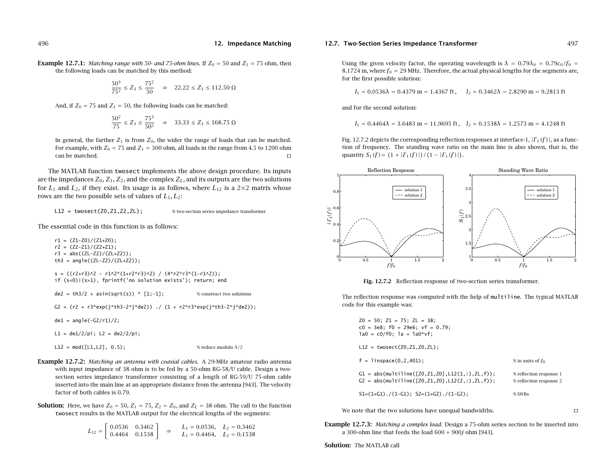**Example 12.7.1:** Matching range with 50- and 75-ohm lines. If  $Z_0 = 50$  and  $Z_1 = 75$  ohm, then the following loads can be matched by this method:

$$
\frac{50^3}{75^2} \le Z_3 \le \frac{75^2}{50} \quad \Rightarrow \quad 22.22 \le Z_3 \le 112.50 \text{ }\Omega
$$

And, if  $Z_0$  = 75 and  $Z_1$  = 50, the following loads can be matched:

$$
\frac{50^2}{75} \le Z_3 \le \frac{75^3}{50^2} \quad \Rightarrow \quad 33.33 \le Z_3 \le 168.75 \text{ }\Omega
$$

In general, the farther  $Z_1$  is from  $Z_0$ , the wider the range of loads that can be matched. For example, with  $Z_0 = 75$  and  $Z_1 = 300$  ohm, all loads in the range from 4.5 to 1200 ohm can be matched.и производство на селото на селото на селото на селото на селото на селото на селото на селото на селото на се

The MATLAB function twosect implements the above design procedure. Its inputs are the impedances  $Z_0$ ,  $Z_1$ ,  $Z_2$ , and the complex  $Z_L$ , and its outputs are the two solutions for  $L_1$  and  $L_2$ , if they exist. Its usage is as follows, where  $L_{12}$  is a 2×2 matrix whose rows are the two possible sets of values of  $L_1, L_2$ :

L12 = twosect(Z0,Z1,Z2,ZL); % two-section series impedance transformer

The essential code in this function is as follows:

 $r1 = (Z1-Z0)/(Z1+Z0);$  $r2 = (Z2-Z1)/(Z2+Z1);$  $r3 = abs((ZL-Z2)/(ZL+Z2))$ ; th3 =  $angle((ZL-Z2)/(ZL+Z2));$ 

 $s = ((r2+r3)^{2} - r1^{2*(1+r2*r3)^{2}) / (4*r2*r3*(1-r1^{2}))};$ if (s<0)|(s>1), fprintf('no solution exists'); return; end

```
de2 = th3/2 + asin(sqrt(s)) * [1;-1]; % construct two solutions
```
G2 =  $(r2 + r3*exp(j*th3-2*j*de2))$  ./  $(1 + r2*r3*exp(j*th3-2*j*de2));$ 

de1 =  $angle(-G2/r1)/2$ ;

 $L1 = de1/2/pi; L2 = de2/2/pi;$ 

L12 =  $mod([L1, L2], 0.5)$ ; % reduce modulo  $\lambda/2$ 

**Example 12.7.2:** Matching an antenna with coaxial cables. <sup>A</sup> 29-MHz amateur radio antenna with input impedance of 38 ohm is to be fed by <sup>a</sup> 50-ohm RG-58/U cable. Design <sup>a</sup> twosection series impedance transformer consisting of <sup>a</sup> length of RG-59/U 75-ohm cable inserted into the main line at an appropriate distance from the antenna [943]. The velocity factor of both cables is 0.79.

**Solution:** Here, we have  $Z_0 = 50$ ,  $Z_1 = 75$ ,  $Z_2 = Z_0$ , and  $Z_L = 38$  ohm. The call to the function twosect results in the MATLAB output for the electrical lengths of the segments:

$$
L_{12} = \begin{bmatrix} 0.0536 & 0.3462 \\ 0.4464 & 0.1538 \end{bmatrix} \Rightarrow L_1 = 0.0536, L_2 = 0.3462
$$
  

$$
L_1 = 0.4464, L_2 = 0.1538
$$

#### **12.7. Two-Section Series Impedance Transformer** 497

Using the given velocity factor, the operating wavelength is  $\lambda = 0.79\lambda_0 = 0.79c_0/f_0 =$ 8.1724 m, where  $f_0$  = 29 MHz. Therefore, the actual physical lengths for the segments are, for the first possible solution:

$$
l_1 = 0.0536\lambda = 0.4379 \text{ m} = 1.4367 \text{ ft}, \quad l_2 = 0.3462\lambda = 2.8290 \text{ m} = 9.2813 \text{ ft}
$$

and for the second solution:

 $l_1 = 0.4464\lambda = 3.6483 \text{ m} = 11.9695 \text{ ft}$ ,  $l_2 = 0.1538\lambda = 1.2573 \text{ m} = 4.1248 \text{ ft}$ 

Fig. 12.7.2 depicts the corresponding reflection responses at interface-1,  $|\Gamma_1(f)|$ , as a function of frequency. The standing wave ratio on the main line is also shown, that is, the quantity  $S_1(f) = (1 + |F_1(f)|)/(1 - |F_1(f)|)$ .



**Fig. 12.7.2** Reflection response of two-section series transformer.

The reflection response was computed with the help of multiline. The typical MATLAB code for this example was:

| $Z0 = 50$ ; $Z1 = 75$ ; $ZL = 38$ ;<br>$c0 = 3e8$ ; $f0 = 29e6$ ; $vf = 0.79$ ;<br>$1a0 = c0/f0$ ; $1a = 1a0*vf$ ; |                                                    |
|--------------------------------------------------------------------------------------------------------------------|----------------------------------------------------|
| $L12 = twosect(Z0, Z1, Z0, ZL);$                                                                                   |                                                    |
| $f = 1$ inspace $(0, 2, 401)$ ;                                                                                    | % in units of $f_0$                                |
| $G1 = abs(multiline([Z0, Z1, Z0], L12(1, :), ZL, f));$<br>$G2 = abs(multiline([Z0, Z1, Z0], L12(2, :), ZL, f));$   | % reflection response 1<br>% reflection response 2 |
| $S1=(1+G1)$ ./(1-G1); $S2=(1+G2)$ ./(1-G2);                                                                        | $%$ SWRs                                           |

We note that the two solutions have unequal bandwidths.  $\square$ 

**Example** 12.7.3: Matching a complex load. Design a 75-ohm series section to be inserted into a 300-ohm line that feeds the load  $600+900j$  ohm [943].

**Solution:** The MATLAB call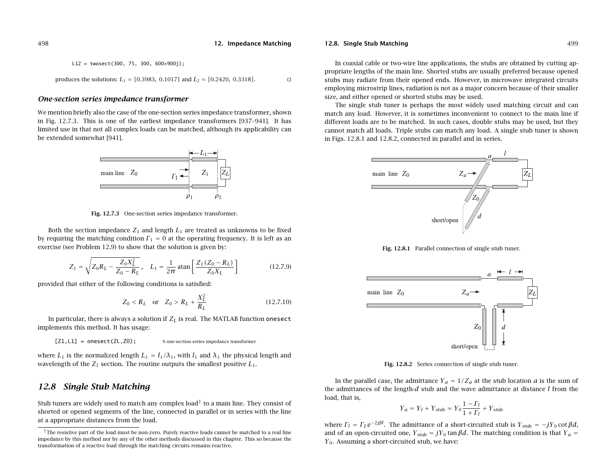L12 = twosect(300, 75, 300, 600+900j);  
produces the solutions: 
$$
L_1 = [0.3983, 0.1017]
$$
 and  $L_2 = [0.2420, 0.3318]$ .

#### **One-section series impedance transformer**

We mention briefly also the case of the one-section series impedance transformer, shown in Fig. 12.7.3. This is one of the earliest impedance transformers [937–941]. It has limited use in that not all complex loads can be matched, although its applicability can be extended somewhat [941].



**Fig. 12.7.3** One-section series impedance transformer.

Both the section impedance  $Z_1$  and length  $L_1$  are treated as unknowns to be fixed by requiring the matching condition  $\Gamma_1 = 0$  at the operating frequency. It is left as an exercise (see Problem 12.9) to show that the solution is given by:

$$
Z_1 = \sqrt{Z_0 R_L - \frac{Z_0 X_L^2}{Z_0 - R_L}}, \quad L_1 = \frac{1}{2\pi} \operatorname{atan} \left[ \frac{Z_1 (Z_0 - R_L)}{Z_0 X_L} \right] \tag{12.7.9}
$$

provided that either of the following conditions is satisfied:

$$
Z_0 < R_L \quad \text{or} \quad Z_0 > R_L + \frac{X_L^2}{R_L} \tag{12.7.10}
$$

In particular, there is always a solution if  $Z_L$  is real. The MATLAB function onesect implements this method. It has usage:

 $[Z1, L1]$  = onesect(ZL,Z0); % one-section series impedance transformer

where  $L_1$  is the normalized length  $L_1 = l_1/\lambda_1$ , with  $l_1$  and  $\lambda_1$  the physical length and wavelength of the  $Z_1$  section. The routine outputs the smallest positive  $L_1$ .

# **12.8 Single Stub Matching**

Stub tuners are widely used to match any complex load<sup>†</sup> to a main line. They consist of shorted or opened segments of the line, connected in parallel or in series with the line at <sup>a</sup> appropriate distances from the load.

**12.8. Single Stub Matching** 499

In coaxial cable or two-wire line applications, the stubs are obtained by cutting appropriate lengths of the main line. Shorted stubs are usually preferred because opened stubs may radiate from their opened ends. However, in microwave integrated circuits employing microstrip lines, radiation is not as <sup>a</sup> major concern because of their smaller size, and either opened or shorted stubs may be used.

The single stub tuner is perhaps the most widely used matching circuit and can match any load. However, it is sometimes inconvenient to connect to the main line if different loads are to be matched. In such cases, double stubs may be used, but they cannot match all loads. Triple stubs can match any load. A single stub tuner is shown in Figs. 12.8.1 and 12.8.2, connected in parallel and in series.



**Fig. 12.8.1** Parallel connection of single stub tuner.



**Fig. 12.8.2** Series connection of single stub tuner.

In the parallel case, the admittance  $Y_a = 1/Z_a$  at the stub location *a* is the sum of the admittances of the length- $d$  stub and the wave admittance at distance  $l$  from the load, that is,

$$
Y_a = Y_l + Y_{\text{stab}} = Y_0 \frac{1 - \Gamma_l}{1 + \Gamma_l} + Y_{\text{stab}}
$$

where  $\Gamma_l = \Gamma_L e^{-2j\beta l}$ . The admittance of a short-circuited stub is  $Y_{\text{stab}} = -jY_0 \cot \beta d$ , and of an open-circuited one,  $Y_{\text{stab}} = jY_0$  tan  $\beta d$ . The matching condition is that  $Y_a =$  $Y_0$ . Assuming a short-circuited stub, we have:

498

<sup>&</sup>lt;sup>†</sup>The resistive part of the load must be non-zero. Purely reactive loads cannot be matched to a real line impedance by this method nor by any of the other methods discussed in this chapter. This so because the transformation of <sup>a</sup> reactive load through the matching circuits remains reactive.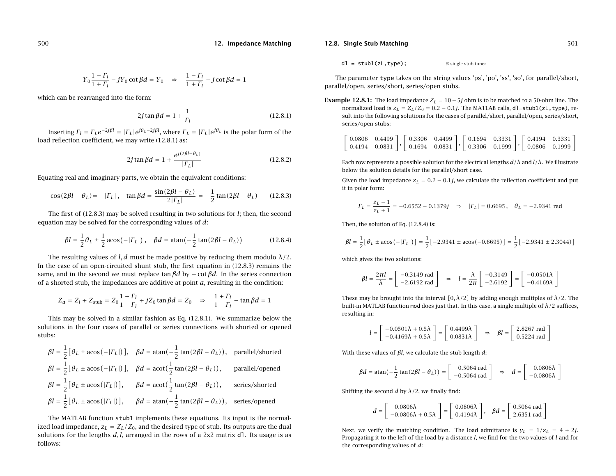$$
Y_0 \frac{1 - \Gamma_l}{1 + \Gamma_l} - jY_0 \cot \beta d = Y_0 \quad \Rightarrow \quad \frac{1 - \Gamma_l}{1 + \Gamma_l} - j \cot \beta d = 1
$$

which can be rearranged into the form:

$$
2j\tan\beta d = 1 + \frac{1}{\Gamma_l} \tag{12.8.1}
$$

Inserting  $\Gamma_l=\Gamma_L e^{-2j\beta l}=|\Gamma_L|e^{j\theta_L-2j\beta l},$  where  $\Gamma_L=|\Gamma_L|e^{j\theta_L}$  is the polar form of the load reflection coefficient, we may write (12.8.1) as:

$$
2j \tan \beta d = 1 + \frac{e^{j(2\beta l - \theta_L)}}{|I_L|}
$$
 (12.8.2)

Equating real and imaginary parts, we obtain the equivalent conditions:

$$
\cos(2\beta l - \theta_L) = -| \Gamma_L | \, , \quad \tan \beta d = \frac{\sin(2\beta l - \theta_L)}{2|\Gamma_L|} = -\frac{1}{2} \tan(2\beta l - \theta_L) \qquad (12.8.3)
$$

The first of (12.8.3) may be solved resulting in two solutions for l; then, the second equation may be solved for the corresponding values of  $d$ :

$$
\beta l = \frac{1}{2} \theta_L \pm \frac{1}{2} \arccos(-|T_L|), \quad \beta d = \arctan(-\frac{1}{2} \tan(2\beta l - \theta_L))
$$
 (12.8.4)

The resulting values of l, d must be made positive by reducing them modulo  $\lambda/2$ . In the case of an open-circuited shunt stub, the first equation in  $(12.8.3)$  remains the same, and in the second we must replace tan  $\beta d$  by  $-$  cot  $\beta d$ . In the series connection of a shorted stub, the impedances are additive at point  $a$ , resulting in the condition:

$$
Z_a = Z_l + Z_{\text{stab}} = Z_0 \frac{1 + \Gamma_l}{1 - \Gamma_l} + jZ_0 \tan \beta d = Z_0 \implies \frac{1 + \Gamma_l}{1 - \Gamma_l} - \tan \beta d = 1
$$

This may be solved in <sup>a</sup> similar fashion as Eq. (12.8.1). We summarize below the solutions in the four cases of parallel or series connections with shorted or opened stubs:

$$
\beta l = \frac{1}{2} [\theta_L \pm \arccos(-|T_L|)], \quad \beta d = \arctan(-\frac{1}{2} \tan(2\beta l - \theta_L)), \quad \text{parallel/shorted}
$$
\n
$$
\beta l = \frac{1}{2} [\theta_L \pm \arccos(-|T_L|)], \quad \beta d = \arct(\frac{1}{2} \tan(2\beta l - \theta_L)), \quad \text{parallel/opened}
$$
\n
$$
\beta l = \frac{1}{2} [\theta_L \pm \arccos(|T_L|)], \quad \beta d = \arct(\frac{1}{2} \tan(2\beta l - \theta_L)), \quad \text{series/shorted}
$$
\n
$$
\beta l = \frac{1}{2} [\theta_L \pm \arccos(|T_L|)], \quad \beta d = \arctan(-\frac{1}{2} \tan(2\beta l - \theta_L)), \quad \text{series/opened}
$$

The MATLAB function stub1 implements these equations. Its input is the normalized load impedance,  $z_L = Z_L/Z_0$ , and the desired type of stub. Its outputs are the dual solutions for the lengths  $d, l$ , arranged in the rows of a 2x2 matrix dl. Its usage is as follows:

**12.8. Single Stub Matching** 501

 $d = \text{stub1}(zL, \text{type})$ : % single stub tuner

The parameter type takes on the string values 'ps', 'po', 'ss', 'so', for parallel/short, parallel/open, series/short, series/open stubs.

**Example 12.8.1:** The load impedance  $Z_L = 10-5j$  ohm is to be matched to a 50-ohm line. The normalized load is  $z_L = Z_L/Z_0 = 0.2 - 0.1j.$  The MATLAB calls, <code>d1=stub1(zL,type)</code>, result into the following solutions for the cases of parallel/short, parallel/open, series/short, series/open stubs:

| $\begin{bmatrix} 0.0806 & 0.4499 \end{bmatrix}$ $\begin{bmatrix} 0.3306 & 0.4499 \end{bmatrix}$ $\begin{bmatrix} 0.1694 & 0.3331 \end{bmatrix}$ $\begin{bmatrix} 0.4194 & 0.3331 \end{bmatrix}$       |  |  |  |  |  |
|-------------------------------------------------------------------------------------------------------------------------------------------------------------------------------------------------------|--|--|--|--|--|
| $\begin{bmatrix} 0.4194 & 0.0831 \end{bmatrix}$ , $\begin{bmatrix} 0.1694 & 0.0831 \end{bmatrix}$ , $\begin{bmatrix} 0.3306 & 0.1999 \end{bmatrix}$ , $\begin{bmatrix} 0.0806 & 0.1999 \end{bmatrix}$ |  |  |  |  |  |

Each row represents a possible solution for the electrical lengths  $d/\lambda$  and  $l/\lambda$ . We illustrate below the solution details for the parallel/short case.

Given the load impedance  $z_L = 0.2 - 0.1j$ , we calculate the reflection coefficient and put it in polar form:

$$
\Gamma_L = \frac{z_L - 1}{z_L + 1} = -0.6552 - 0.1379j \quad \Rightarrow \quad |\Gamma_L| = 0.6695 \,, \quad \theta_L = -2.9341 \text{ rad}
$$

Then, the solution of Eq. (12.8.4) is:

$$
\beta l = \frac{1}{2} [\theta_L \pm \arccos(-|T_L|)] = \frac{1}{2} [-2.9341 \pm \arccos(-0.6695)] = \frac{1}{2} [-2.9341 \pm 2.3044)]
$$

which gives the two solutions:

$$
\beta l = \frac{2\pi l}{\lambda} = \begin{bmatrix} -0.3149 \text{ rad} \\ -2.6192 \text{ rad} \end{bmatrix} \Rightarrow l = \frac{\lambda}{2\pi} \begin{bmatrix} -0.3149 \\ -2.6192 \end{bmatrix} = \begin{bmatrix} -0.0501\lambda \\ -0.4169\lambda \end{bmatrix}
$$

These may be brought into the interval  $[0, \lambda/2]$  by adding enough multiples of  $\lambda/2$ . The built-in MATLAB function mod does just that. In this case, a single multiple of  $\lambda/2$  suffices, resulting in:

$$
l = \begin{bmatrix} -0.0501\lambda + 0.5\lambda \\ -0.4169\lambda + 0.5\lambda \end{bmatrix} = \begin{bmatrix} 0.4499\lambda \\ 0.0831\lambda \end{bmatrix} \Rightarrow \beta l = \begin{bmatrix} 2.8267 \text{ rad} \\ 0.5224 \text{ rad} \end{bmatrix}
$$

With these values of  $\beta$ l, we calculate the stub length  $d$ :

$$
\beta d = \text{atan}\left(-\frac{1}{2}\tan(2\beta l - \theta_L)\right) = \begin{bmatrix} 0.5064 \text{ rad} \\ -0.5064 \text{ rad} \end{bmatrix} \Rightarrow d = \begin{bmatrix} 0.0806\lambda \\ -0.0806\lambda \end{bmatrix}
$$

Shifting the second d by  $\lambda/2$ , we finally find:

$$
d = \begin{bmatrix} 0.0806\lambda \\ -0.0806\lambda + 0.5\lambda \end{bmatrix} = \begin{bmatrix} 0.0806\lambda \\ 0.4194\lambda \end{bmatrix}, \quad \beta d = \begin{bmatrix} 0.5064 \text{ rad} \\ 2.6351 \text{ rad} \end{bmatrix}
$$

Next, we verify the matching condition. The load admittance is  $y_L = 1/z_L = 4 + 2j$ . Propagating it to the left of the load by <sup>a</sup> distance l, we find for the two values of l and for the corresponding values of  $d$ :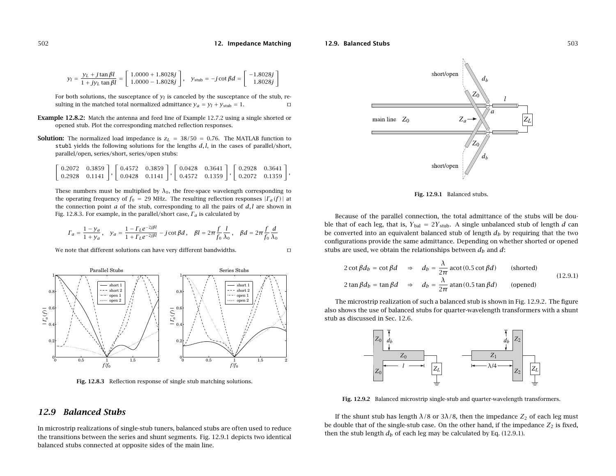#### **12.9. Balanced Stubs**

$$
y_l = \frac{y_L + j \tan \beta l}{1 + j y_L \tan \beta l} = \begin{bmatrix} 1.0000 + 1.8028j \\ 1.0000 - 1.8028j \end{bmatrix}, \quad y_{\text{sub}} = -j \cot \beta d = \begin{bmatrix} -1.8028j \\ 1.8028j \end{bmatrix}
$$

For both solutions, the susceptance of  $y_l$  is canceled by the susceptance of the stub, resulting in the matched total normalized admittance  $y_a = y_l + y_{\text{stab}} = 1$ .

- **Example 12.8.2:** Match the antenna and feed line of Example 12.7.2 using <sup>a</sup> single shorted or opened stub. Plot the corresponding matched reflection responses.
- **Solution:** The normalized load impedance is  $z_L = 38/50 = 0.76$ . The MATLAB function to stub1 yields the following solutions for the lengths  $d, l$ , in the cases of parallel/short, parallel/open, series/short, series/open stubs:

|  |  |  | $\begin{bmatrix} 0.2072 & 0.3859 \end{bmatrix}$ $\begin{bmatrix} 0.4572 & 0.3859 \end{bmatrix}$ $\begin{bmatrix} 0.0428 & 0.3641 \end{bmatrix}$ $\begin{bmatrix} 0.2928 & 0.3641 \end{bmatrix}$         |  |  |  |
|--|--|--|---------------------------------------------------------------------------------------------------------------------------------------------------------------------------------------------------------|--|--|--|
|  |  |  | $\begin{bmatrix} 0.2928 & 0.1141 \end{bmatrix}$ , $\begin{bmatrix} 0.0428 & 0.1141 \end{bmatrix}$ , $\begin{bmatrix} 0.4572 & 0.1359 \end{bmatrix}$ , $\begin{bmatrix} 0.2072 & 0.1359 \end{bmatrix}$ , |  |  |  |

These numbers must be multiplied by  $\lambda_0$ , the free-space wavelength corresponding to the operating frequency of  $f_0 = 29$  MHz. The resulting reflection responses  $|\Gamma_a(f)|$  at the connection point  $a$  of the stub, corresponding to all the pairs of  $d, l$  are shown in Fig. 12.8.3. For example, in the parallel/short case,  $\varGamma_a$  is calculated by

$$
\Gamma_a = \frac{1 - y_a}{1 + y_a}, \quad y_a = \frac{1 - \Gamma_L e^{-2j\beta l}}{1 + \Gamma_L e^{-2j\beta l}} - j \cot \beta d, \quad \beta l = 2\pi \frac{f}{f_0} \frac{l}{\lambda_0}, \quad \beta d = 2\pi \frac{f}{f_0} \frac{d}{\lambda_0}
$$

We note that different solutions can have very different bandwidths.



**Fig. 12.8.3** Reflection response of single stub matching solutions.

### **12.9 Balanced Stubs**

In microstrip realizations of single-stub tuners, balanced stubs are often used to reduce the transitions between the series and shunt segments. Fig. 12.9.1 depicts two identical balanced stubs connected at opposite sides of the main line.



**Fig. 12.9.1** Balanced stubs.

Because of the parallel connection, the total admittance of the stubs will be double that of each leg, that is,  $Y_{bal} = 2Y_{stub}$ . A single unbalanced stub of length d can be converted into an equivalent balanced stub of length  $d_b$  by requiring that the two configurations provide the same admittance. Depending on whether shorted or opened stubs are used, we obtain the relationships between  $d_b$  and  $d$ :

$$
2 \cot \beta d_b = \cot \beta d \quad \Rightarrow \quad d_b = \frac{\lambda}{2\pi} \arct(0.5 \cot \beta d) \quad \text{(shorted)}
$$
\n
$$
2 \tan \beta d_b = \tan \beta d \quad \Rightarrow \quad d_b = \frac{\lambda}{2\pi} \arct(0.5 \tan \beta d) \quad \text{(opened)}
$$
\n
$$
(12.9.1)
$$

The microstrip realization of such <sup>a</sup> balanced stub is shown in Fig. 12.9.2. The figure also shows the use of balanced stubs for quarter-wavelength transformers with <sup>a</sup> shunt stub as discussed in Sec. 12.6.



**Fig. 12.9.2** Balanced microstrip single-stub and quarter-wavelength transformers.

If the shunt stub has length  $\lambda/8$  or 3 $\lambda/8$ , then the impedance  $Z_2$  of each leg must be double that of the single-stub case. On the other hand, if the impedance  $Z_2$  is fixed, then the stub length  $d_b$  of each leg may be calculated by Eq. (12.9.1).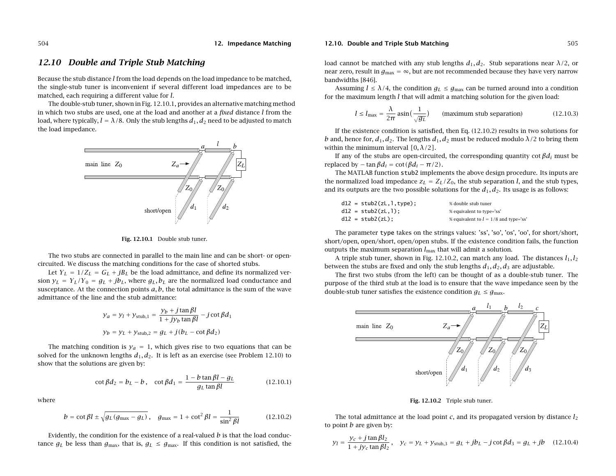# **12.10 Double and Triple Stub Matching**

Because the stub distance l from the load depends on the load impedance to be matched, the single-stub tuner is inconvenient if several different load impedances are to be matched, each requiring <sup>a</sup> different value for l.

The double-stub tuner, shown in Fig. 12.10.1, provides an alternative matching method in which two stubs are used, one at the load and another at a *fixed* distance  $l$  from the load, where typically,  $l = \lambda/8$ . Only the stub lengths  $d_1, d_2$  need to be adjusted to match the load impedance.



**Fig. 12.10.1** Double stub tuner.

The two stubs are connected in parallel to the main line and can be short- or opencircuited. We discuss the matching conditions for the case of shorted stubs.

Let  $Y_L = 1/Z_L = G_L + jB_L$  be the load admittance, and define its normalized version  $y_L = Y_L/Y_0 = g_L + jb_L$ , where  $g_L, b_L$  are the normalized load conductance and susceptance. At the connection points  $a, b$ , the total admittance is the sum of the wave admittance of the line and the stub admittance:

$$
y_a = y_l + y_{\text{stab},1} = \frac{y_b + j \tan \beta l}{1 + j y_b \tan \beta l} - j \cot \beta d_1
$$
  

$$
y_b = y_L + y_{\text{stab},2} = g_L + j (b_L - \cot \beta d_2)
$$

The matching condition is  $y_a = 1$ , which gives rise to two equations that can be solved for the unknown lengths  $d_1, d_2$ . It is left as an exercise (see Problem 12.10) to show that the solutions are given by:

$$
\cot \beta d_2 = b_L - b \,, \quad \cot \beta d_1 = \frac{1 - b \tan \beta l - g_L}{g_L \tan \beta l} \tag{12.10.1}
$$

where

$$
b = \cot \beta l \pm \sqrt{g_L (g_{\text{max}} - g_L)}, \quad g_{\text{max}} = 1 + \cot^2 \beta l = \frac{1}{\sin^2 \beta l}
$$
 (12.10.2)

Evidently, the condition for the existence of a real-valued  $b$  is that the load conductance  $g_L$  be less than  $g_{\rm max}$ , that is,  $g_L \leq g_{\rm max}$ . If this condition is not satisfied, the

#### **12.10. Double and Triple Stub Matching** 505

load cannot be matched with any stub lengths  $d_1, d_2$ . Stub separations near  $\lambda/2$ , or near zero, result in  ${g_{\rm max}}=\infty$ , but are not recommended because they have very narrow bandwidths [846].

Assuming  $l \leq \lambda/4$ , the condition  $g_L \leq g_{\text{max}}$  can be turned around into a condition for the maximum length  $l$  that will admit a matching solution for the given load:

$$
l \le l_{\text{max}} = \frac{\lambda}{2\pi} \operatorname{asin}\left(\frac{1}{\sqrt{g_L}}\right) \qquad \text{(maximum stub separation)} \tag{12.10.3}
$$

If the existence condition is satisfied, then Eq. (12.10.2) results in two solutions for b and, hence for,  $d_1, d_2$ . The lengths  $d_1, d_2$  must be reduced modulo  $\lambda/2$  to bring them within the minimum interval  $[0, \lambda/2]$ .

If any of the stubs are open-circuited, the corresponding quantity cot  $\beta d_i$  must be replaced by – tan  $\beta d_i = \cot(\beta d_i - \pi/2)$ .

The MATLAB function stub2 implements the above design procedure. Its inputs are the normalized load impedance  $z_L = Z_L/Z_0$ , the stub separation l, and the stub types, and its outputs are the two possible solutions for the  $d_1, d_2$ . Its usage is as follows:

| $d12 =$ stub2(zL, l, type); | % double stub tuner                     |
|-----------------------------|-----------------------------------------|
| $d12 =$ stub2(zL,1);        | % equivalent to type='ss'               |
| $d12 = stub2(zL);$          | % equivalent to $l = 1/8$ and type='ss' |

The parameter type takes on the strings values: 'ss', 'so', 'os', 'oo', for short/short, short/open, open/short, open/open stubs. If the existence condition fails, the function outputs the maximum separation  $l_{\max}$  that will admit a solution.

A triple stub tuner, shown in Fig. 12.10.2, can match any load. The distances  $l_1, l_2$ between the stubs are fixed and only the stub lengths  $d_1, d_2, d_3$  are adjustable.

The first two stubs (from the left) can be thought of as <sup>a</sup> double-stub tuner. The purpose of the third stub at the load is to ensure that the wave impedance seen by the double-stub tuner satisfies the existence condition  $g_L \leq g_{\rm max}.$ 



**Fig. 12.10.2** Triple stub tuner.

The total admittance at the load point c, and its propagated version by distance  $l_2$ to point  $b$  are given by:

$$
y_l = \frac{y_c + j \tan \beta l_2}{1 + jy_c \tan \beta l_2}, \quad y_c = y_L + y_{\text{stab},3} = g_L + jb_L - j \cot \beta d_3 = g_L + jb \quad (12.10.4)
$$

504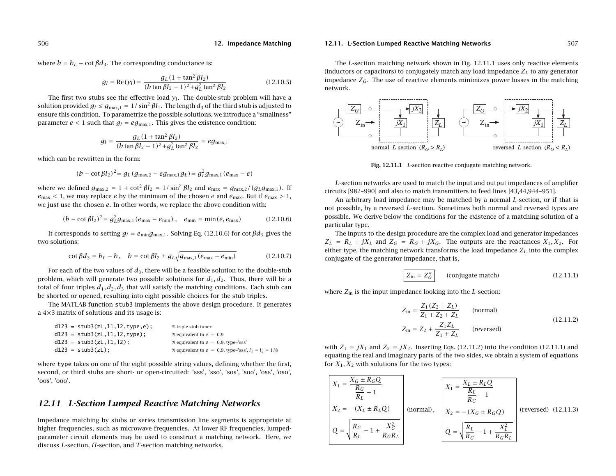where  $b = b_L - \cot \beta d_3$ . The corresponding conductance is:

$$
g_l = \text{Re}(y_l) = \frac{g_L (1 + \tan^2 \beta l_2)}{(b \tan \beta l_2 - 1)^2 + g_L^2 \tan^2 \beta l_2}
$$
(12.10.5)

The first two stubs see the effective load  $y_l$ . The double-stub problem will have a solution provided  $g_l \leq g_{\text{max},1} = 1/\sin^2 \beta l_1$ . The length  $d_3$  of the third stub is adjusted to ensure this condition. To parametrize the possible solutions, we introduce <sup>a</sup> "smallness" parameter  $e < 1$  such that  $g_l = eg_{\text{max},1}$ . This gives the existence condition:

$$
g_l = \frac{g_L (1 + \tan^2 \beta l_2)}{(b \tan \beta l_2 - 1)^2 + g_L^2 \tan^2 \beta l_2} = eg_{\text{max},l}
$$

which can be rewritten in the form:

$$
(b - \cot \beta l_2)^2 = g_L (g_{\text{max},2} - e g_{\text{max},1} g_L) = g_L^2 g_{\text{max},1} (e_{\text{max}} - e)
$$

where we defined  $g_{\text{max},2} = 1 + \cot^2 \beta l_2 = 1/\sin^2 \beta l_2$  and  $e_{\text{max}} = g_{\text{max},2}/(g_L g_{\text{max},1})$ . If  $e_{\text{max}} < 1$ , we may replace e by the minimum of the chosen e and  $e_{\text{max}}$ . But if  $e_{\text{max}} > 1$ , we just use the chosen <sup>e</sup>. In other words, we replace the above condition with:

$$
(b - \cot \beta l_2)^2 = g_L^2 g_{\text{max},1} (e_{\text{max}} - e_{\text{min}}), \quad e_{\text{min}} = \min(e, e_{\text{max}}) \tag{12.10.6}
$$

It corresponds to setting  $g_l = e_{min} g_{max,1}$ . Solving Eq. (12.10.6) for cot  $\beta d_3$  gives the two solutions:

$$
\cot \beta d_3 = b_L - b \,, \quad b = \cot \beta l_2 \pm g_L \sqrt{g_{\text{max},1} (e_{\text{max}} - e_{\text{min}})} \tag{12.10.7}
$$

For each of the two values of  $d_3$ , there will be a feasible solution to the double-stub problem, which will generate two possible solutions for  $d_1, d_2$ . Thus, there will be a total of four triples  $d_1, d_2, d_3$  that will satisfy the matching conditions. Each stub can be shorted or opened, resulting into eight possible choices for the stub triples.

The MATLAB function stub3 implements the above design procedure. It generates <sup>a</sup> 4×3 matrix of solutions and its usage is:

| $d123 = stub3(zL, 11, 12, type, e)$ ; | % triple stub tuner                                       |
|---------------------------------------|-----------------------------------------------------------|
| $d123 = stub3(zL, 11, 12, type);$     | % equivalent to $e = 0.9$                                 |
| $d123 = stub3(zL, 11, 12)$ ;          | % equivalent to $e = 0.9$ , type='sss'                    |
| $d123 = stub3(zL);$                   | % equivalent to $e = 0.9$ , type='sss', $l_1 = l_2 = 1/8$ |

where type takes on one of the eight possible string values, defining whether the first, second, or third stubs are short- or open-circuited: 'sss', 'sso', 'sos', 'soo', 'oss', 'oso', 'oos', 'ooo'.

# **12.11 L-Section Lumped Reactive Matching Networks**

Impedance matching by stubs or series transmission line segments is appropriate at higher frequencies, such as microwave frequencies. At lower RF frequencies, lumpedparameter circuit elements may be used to construct <sup>a</sup> matching network. Here, we discuss L-section,  $\Pi$ -section, and  $T$ -section matching networks.

#### **12.11. L-Section Lumped Reactive Matching Networks** 507

The L-section matching network shown in Fig. 12.11.1 uses only reactive elements (inductors or capacitors) to conjugately match any load impedance  $Z_L$  to any generator impedance  $Z_G$ . The use of reactive elements minimizes power losses in the matching network.



**Fig. 12.11.1** L-section reactive conjugate matching network.

L-section networks are used to match the input and output impedances of amplifier circuits [982–990] and also to match transmitters to feed lines [43,44,944–951].

An arbitrary load impedance may be matched by <sup>a</sup> normal L-section, or if that is not possible, by <sup>a</sup> reversed L-section. Sometimes both normal and reversed types are possible. We derive below the conditions for the existence of <sup>a</sup> matching solution of <sup>a</sup> particular type.

The inputs to the design procedure are the complex load and generator impedances  $Z_L = R_L + jX_L$  and  $Z_G = R_G + jX_G$ . The outputs are the reactances  $X_1, X_2$ . For either type, the matching network transforms the load impedance  $Z_L$  into the complex conjugate of the generator impedance, that is,

$$
Z_{\text{in}} = Z_G^*
$$
 (conjugate match) \t(12.11.1)

where  $Z_{\rm in}$  is the input impedance looking into the  $L$ -section:

$$
Z_{\text{in}} = \frac{Z_1 (Z_2 + Z_L)}{Z_1 + Z_2 + Z_L}
$$
 (normal)  

$$
Z_{\text{in}} = Z_2 + \frac{Z_1 Z_L}{Z_1 + Z_L}
$$
 (reversed) (12.11.2)

with  $Z_1 = jX_1$  and  $Z_2 = jX_2$ . Inserting Eqs. (12.11.2) into the condition (12.11.1) and equating the real and imaginary parts of the two sides, we obtain <sup>a</sup> system of equations for  $X_1, X_2$  with solutions for the two types:

$$
X_{1} = \frac{X_{G} \pm R_{G}Q}{\frac{R_{G}}{R_{L}} - 1}
$$
\n
$$
X_{2} = -(X_{L} \pm R_{L}Q)
$$
\n(normal),

\n
$$
Q = \sqrt{\frac{R_{G}}{R_{L}} - 1 + \frac{X_{G}^{2}}{R_{G}R_{L}}}
$$
\n(normal),

\n
$$
Q = \sqrt{\frac{R_{L}}{R_{L}} - 1 + \frac{X_{C}^{2}}{R_{G}R_{L}}}
$$
\n(reversed)

\n
$$
Q = \sqrt{\frac{R_{L}}{R_{G}} - 1 + \frac{X_{L}^{2}}{R_{G}R_{L}}}
$$
\n(reversed)

\n
$$
Q = \sqrt{\frac{R_{L}}{R_{G}} - 1 + \frac{X_{L}^{2}}{R_{G}R_{L}}}
$$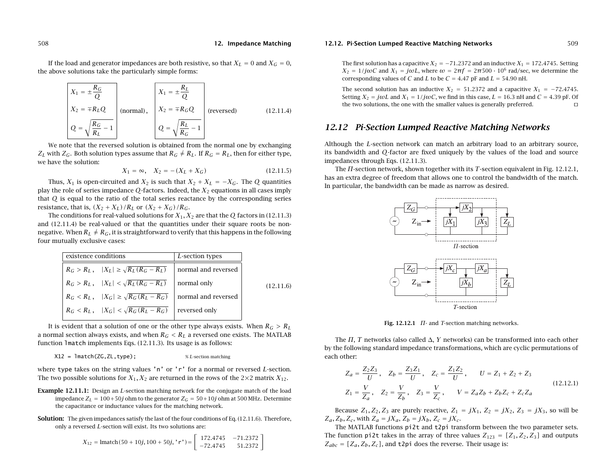If the load and generator impedances are both resistive, so that  $X_L=0$  and  $X_G=0,$ the above solutions take the particularly simple forms:

$$
X_1 = \pm \frac{R_G}{Q}
$$
  
\n
$$
X_2 = \mp R_L Q
$$
 (normal),  
\n
$$
Q = \sqrt{\frac{R_G}{R_L} - 1}
$$
 (normal),  
\n
$$
Q = \sqrt{\frac{R_L}{R_G} - 1}
$$
 (reversed) (12.11.4)

We note that the reversed solution is obtained from the normal one by exchanging  $Z_L$  with  $Z_G$ . Both solution types assume that  $R_G \neq R_L$ . If  $R_G = R_L$ , then for either type, we have the solution:

$$
X_1 = \infty, \quad X_2 = -(X_L + X_G) \tag{12.11.5}
$$

Thus,  $X_1$  is open-circuited and  $X_2$  is such that  $X_2 + X_L = -X_G$ . The Q quantities play the role of series impedance  $Q$ -factors. Indeed, the  $X_2$  equations in all cases imply that Q is equal to the ratio of the total series reactance by the corresponding series resistance, that is,  $(X_2 + X_L)/R_L$  or  $(X_2 + X_G)/R_G$ .

The conditions for real-valued solutions for  $X_1,X_2$  are that the  $Q$  factors in (12.11.3) and (12.11.4) be real-valued or that the quantities under their square roots be nonnegative. When  $R_L \neq R_G,$  it is straightforward to verify that this happens in the following four mutually exclusive cases:

| existence conditions |                                                                                          | L-section types     |           |
|----------------------|------------------------------------------------------------------------------------------|---------------------|-----------|
|                      | $R_G > R_L$ , $ X_L  \ge \sqrt{R_L (R_G - R_L)}$                                         | normal and reversed |           |
|                      | $R_G > R_L$ , $ X_L  < \sqrt{R_L (R_G - R_L)}$                                           | normal only         | (12.11.6) |
|                      | $R_G < R_L$ , $ X_G  \ge \sqrt{R_G (R_L - R_G)}$                                         | normal and reversed |           |
|                      | $\left  R_G < R_L, \quad  X_G  < \sqrt{R_G(\overline{R_L - R_G)}} \right $ reversed only |                     |           |

It is evident that a solution of one or the other type always exists. When  $R_G > R_L$ a normal section always exists, and when  $R_G < R_L$  a reversed one exists. The MATLAB function lmatch implements Eqs. (12.11.3). Its usage is as follows:

X12 <sup>=</sup> lmatch(ZG,ZL,type); % <sup>L</sup>-section matching

where type takes on the string values 'n' or 'r' for a normal or reversed  $L$ -section. The two possible solutions for  $X_1, X_2$  are returned in the rows of the 2×2 matrix  $X_{12}$ .

- **Example 12.11.1:** Design an *L*-section matching network for the conjugate match of the load impedance  $Z_L=100\!+\!50j$  ohm to the generator  $Z_G=50\!+\!10j$  ohm at 500 MHz. Determine the capacitance or inductance values for the matching network.
- **Solution:** The given impedances satisfy the last of the four conditions of Eq. (12.11.6). Therefore, only <sup>a</sup> reversed L-section will exist. Its two solutions are:

$$
X_{12} = \text{lmatch}(50 + 10j, 100 + 50j, 'r') = \begin{bmatrix} 172.4745 & -71.2372 \\ -72.4745 & 51.2372 \end{bmatrix}
$$

#### **12.12. Pi-Section Lumped Reactive Matching Networks** 509

The first solution has a capacitive  $X_2 = -71.2372$  and an inductive  $X_1 = 172.4745$ . Setting  $X_2 = 1/j\omega C$  and  $X_1 = j\omega L$ , where  $\omega = 2\pi f = 2\pi 500 \cdot 10^6$  rad/sec, we determine the corresponding values of C and L to be  $C = 4.47$  pF and  $L = 54.90$  nH.

The second solution has an inductive  $X_2 = 51.2372$  and a capacitive  $X_1 = -72.4745$ . Setting  $X_2 = j\omega L$  and  $X_1 = 1/j\omega C$ , we find in this case,  $L = 16.3$  nH and  $C = 4.39$  pF. Of the two solutions, the one with the smaller values is generally preferred.

# **12.12 Pi-Section Lumped Reactive Matching Networks**

Although the L-section network can match an arbitrary load to an arbitrary source, its bandwidth and Q-factor are fixed uniquely by the values of the load and source impedances through Eqs. (12.11.3).

The  $\varPi$ -section network, shown together with its  $T$ -section equivalent in Fig. 12.12.1, has an extra degree of freedom that allows one to control the bandwidth of the match. In particular, the bandwidth can be made as narrow as desired.



**Fig. 12.12.1** Π- and T-section matching networks.

The  $\Pi,~T$  networks (also called  $\Delta,~Y$  networks) can be transformed into each other by the following standard impedance transformations, which are cyclic permutations of each other:

$$
Z_a = \frac{Z_2 Z_3}{U}, \quad Z_b = \frac{Z_3 Z_1}{U}, \quad Z_c = \frac{Z_1 Z_2}{U}, \quad U = Z_1 + Z_2 + Z_3
$$
  

$$
Z_1 = \frac{V}{Z_a}, \quad Z_2 = \frac{V}{Z_b}, \quad Z_3 = \frac{V}{Z_c}, \quad V = Z_a Z_b + Z_b Z_c + Z_c Z_a
$$
 (12.12.1)

Because  $Z_1, Z_2, Z_3$  are purely reactive,  $Z_1 = jX_1, Z_2 = jX_2, Z_3 = jX_3$ , so will be  $Z_a$ ,  $Z_b$ ,  $Z_c$ , with  $Z_a = jX_a$ ,  $Z_b = jX_b$ ,  $Z_c = jX_c$ .

The MATLAB functions pi2t and t2pi transform between the two parameter sets. The function pi2t takes in the array of three values  $Z_{123} = [Z_1, Z_2, Z_3]$  and outputs  $Z_{abc} = [Z_a, Z_b, Z_c]$ , and t2pi does the reverse. Their usage is: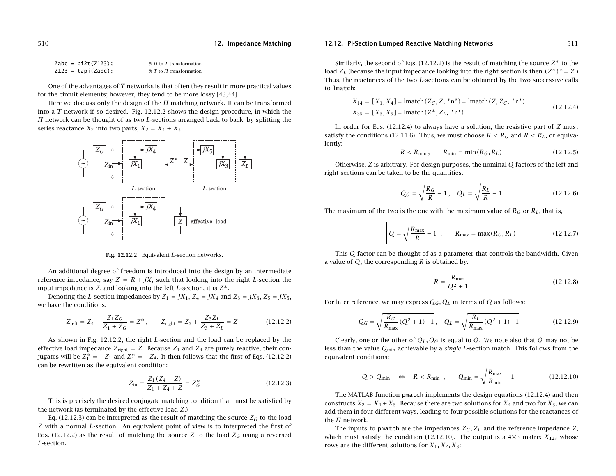| $Zabc = pi2t(Z123)$ ; | $\% \Pi$ to T transformation   |
|-----------------------|--------------------------------|
| $Z123 = t2pi(Zabc);$  | $\% T$ to $\Pi$ transformation |

One of the advantages of T networks is that often they result in more practical values for the circuit elements; however, they tend to be more lossy [43,44].

Here we discuss only the design of the  $\Pi$  matching network. It can be transformed into a  $T$  network if so desired. Fig. 12.12.2 shows the design procedure, in which the  $\Pi$  network can be thought of as two L-sections arranged back to back, by splitting the series reactance  $X_2$  into two parts,  $X_2=X_4+X_5.$ 



**Fig. 12.12.2** Equivalent L-section networks.

An additional degree of freedom is introduced into the design by an intermediate reference impedance, say  $Z = R + jX$ , such that looking into the right L-section the input impedance is Z, and looking into the left L-section, it is  $Z^*$ .

Denoting the L-section impedances by  $Z_1 = jX_1$ ,  $Z_4 = jX_4$  and  $Z_3 = jX_3$ ,  $Z_5 = jX_5$ , we have the conditions:

$$
Z_{\text{left}} = Z_4 + \frac{Z_1 Z_G}{Z_1 + Z_G} = Z^*, \qquad Z_{\text{right}} = Z_5 + \frac{Z_3 Z_L}{Z_3 + Z_L} = Z \tag{12.12.2}
$$

As shown in Fig. 12.12.2, the right L-section and the load can be replaced by the effective load impedance  $Z_{\text{right}} = Z$ . Because  $Z_1$  and  $Z_4$  are purely reactive, their conjugates will be  $Z_1^* = -Z_1$  and  $Z_4^* = -Z_4$ . It then follows that the first of Eqs. (12.12.2) can be rewritten as the equivalent condition:

$$
Z_{\rm in} = \frac{Z_1 (Z_4 + Z)}{Z_1 + Z_4 + Z} = Z_G^*
$$
\n(12.12.3)

This is precisely the desired conjugate matching condition that must be satisfied by the network (as terminated by the effective load Z.)

Eq. (12.12.3) can be interpreted as the result of matching the source  $Z_G$  to the load Z with <sup>a</sup> normal L-section. An equivalent point of view is to interpreted the first of Eqs. (12.12.2) as the result of matching the source Z to the load  $Z_G$  using a reversed L-section.

#### **12.12. Pi-Section Lumped Reactive Matching Networks** 511

Similarly, the second of Eqs.  $(12.12.2)$  is the result of matching the source  $Z^*$  to the load  $Z_L$  (because the input impedance looking into the right section is then  $(Z^*)^* = Z$ .) Thus, the reactances of the two L-sections can be obtained by the two successive calls to lmatch:

$$
X_{14} = [X_1, X_4] = \text{lmatch}(Z_G, Z, 'n') = \text{lmatch}(Z, Z_G, 'r')
$$
  
\n
$$
X_{35} = [X_3, X_5] = \text{lmatch}(Z^*, Z_L, 'r')
$$
\n(12.12.4)

In order for Eqs.  $(12.12.4)$  to always have a solution, the resistive part of Z must satisfy the conditions (12.11.6). Thus, we must choose  $R < R_G$  and  $R < R_L$ , or equivalently:

$$
R < R_{\min}, \qquad R_{\min} = \min(R_G, R_L) \tag{12.12.5}
$$

Otherwise, Z is arbitrary. For design purposes, the nominal  $O$  factors of the left and right sections can be taken to be the quantities:

$$
Q_G = \sqrt{\frac{R_G}{R} - 1}, \quad Q_L = \sqrt{\frac{R_L}{R} - 1}
$$
 (12.12.6)

The maximum of the two is the one with the maximum value of  $R_G$  or  $R_L$ , that is,

$$
Q = \sqrt{\frac{R_{\text{max}}}{R} - 1}, \qquad R_{\text{max}} = \max(R_G, R_L)
$$
 (12.12.7)

This Q-factor can be thought of as <sup>a</sup> parameter that controls the bandwidth. Given a value of  $Q$ , the corresponding  $R$  is obtained by:

$$
R = \frac{R_{\text{max}}}{Q^2 + 1}
$$
 (12.12.8)

For later reference, we may express  $Q_G, Q_L$  in terms of  $Q$  as follows:

$$
Q_G = \sqrt{\frac{R_G}{R_{\text{max}}}(Q^2 + 1) - 1}, \quad Q_L = \sqrt{\frac{R_L}{R_{\text{max}}}(Q^2 + 1) - 1}
$$
(12.12.9)

Clearly, one or the other of  $Q_L,Q_G$  is equal to  $Q.$  We note also that  $Q$  may not be less than the value  $Q_{\min}$  achievable by a *single L-*section match. This follows from the equivalent conditions:

$$
Q > Q_{\min} \iff R < R_{\min} \,, \qquad Q_{\min} = \sqrt{\frac{R_{\max}}{R_{\min}} - 1} \tag{12.12.10}
$$

The MATLAB function pmatch implements the design equations (12.12.4) and then constructs  $X_2=X_4+X_5.$  Because there are two solutions for  $X_4$  and two for  $X_5,$  we can add them in four different ways, leading to four possible solutions for the reactances of the  $\Pi$  network.

The inputs to pmatch are the impedances  $Z_G$ ,  $Z_L$  and the reference impedance  $Z$ , which must satisfy the condition (12.12.10). The output is a  $4\times3$  matrix  $X_{123}$  whose rows are the different solutions for  $X_1, X_2, X_3$ :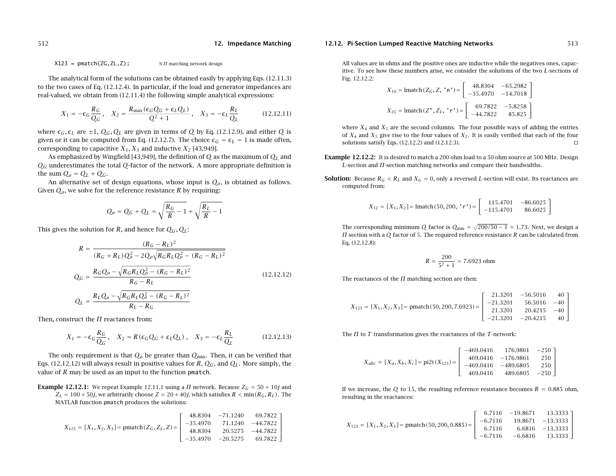#### **12.12. Pi-Section Lumped Reactive Matching Networks** 513

 $X123 = \text{pmatch}(ZG, ZL, Z);$  %  $\text{M}$  matching network design

The analytical form of the solutions can be obtained easily by applying Eqs. (12.11.3) to the two cases of Eq. (12.12.4). In particular, if the load and generator impedances are real-valued, we obtain from (12.11.4) the following simple analytical expressions:

$$
X_1 = -\epsilon_G \frac{R_G}{Q_G}, \quad X_2 = \frac{R_{\text{max}}(\epsilon_G Q_G + \epsilon_L Q_L)}{Q^2 + 1}, \quad X_3 = -\epsilon_L \frac{R_L}{Q_L}
$$
(12.12.11)

**12. Impedance Matching**

where  $\epsilon_G$ ,  $\epsilon_L$  are  $\pm 1$ ,  $Q_G$ ,  $Q_L$  are given in terms of  $Q$  by Eq. (12.12.9), and either  $Q$  is given or it can be computed from Eq. (12.12.7). The choice  $\epsilon_G = \epsilon_L = 1$  is made often, corresponding to capacitive  $X_1, X_3$  and inductive  $X_2$  [43,949].

As emphasized by Wingfield [43,949], the definition of  $Q$  as the maximum of  $Q_L$  and  $Q_G$  underestimates the total  $Q$ -factor of the network. A more appropriate definition is the sum  $Q_o = Q_L + Q_G$ .

An alternative set of design equations, whose input is  $Q<sub>o</sub>$ , is obtained as follows. Given  $Q_o$ , we solve for the reference resistance  $R$  by requiring:

$$
Q_o = Q_G + Q_L = \sqrt{\frac{R_G}{R} - 1} + \sqrt{\frac{R_L}{R} - 1}
$$

This gives the solution for R, and hence for  $Q_G, Q_L$ :

$$
R = \frac{(R_G - R_L)^2}{(R_G + R_L)Q_o^2 - 2Q_o\sqrt{R_GR_LQ_o^2 - (R_G - R_L)^2}}
$$
  
\n
$$
Q_G = \frac{R_GQ_o - \sqrt{R_GR_LQ_o^2 - (R_G - R_L)^2}}{R_G - R_L}
$$
  
\n
$$
Q_L = \frac{R_LQ_o - \sqrt{R_GR_LQ_o^2 - (R_G - R_L)^2}}{R_L - R_G}
$$
\n(12.12.12)

Then, construct the  $\Pi$  reactances from:

$$
X_1 = -\epsilon_G \frac{R_G}{Q_G}, \quad X_2 = R(\epsilon_G Q_G + \epsilon_L Q_L), \quad X_3 = -\epsilon_L \frac{R_L}{Q_L}
$$
(12.12.13)

The only requirement is that  $Q_o$  be greater than  $Q_{\rm min}$ . Then, it can be verified that Eqs. (12.12.12) will always result in positive values for R,  $Q_G$ , and  $Q_L$ . More simply, the value of  $R$  may be used as an input to the function pmatch.

**Example 12.12.1:** We repeat Example 12.11.1 using a  $\Pi$  network. Because  $Z_G = 50 + 10j$  and  $Z_L = 100 + 50j$ , we arbitrarily choose  $Z = 20 + 40j$ , which satisfies  $R < \min(R_G, R_L)$  . The MATLAB function pmatch produces the solutions:

$$
X_{123} = [X_1, X_2, X_3] = \text{pmatch}(Z_G, Z_L, Z) = \begin{bmatrix} 48.8304 & -71.1240 & 69.7822 \\ -35.4970 & 71.1240 & -44.7822 \\ 48.8304 & 20.5275 & -44.7822 \\ -35.4970 & -20.5275 & 69.7822 \end{bmatrix}
$$

All values are in ohms and the positive ones are inductive while the negatives ones, capacitive. To see how these numbers arise, we consider the solutions of the two L-sections of Fig. 12.12.2:

$$
X_{14} = \text{lmatch}(Z_G, Z, 'n') = \begin{bmatrix} 48.8304 & -65.2982 \\ -35.4970 & -14.7018 \end{bmatrix}
$$

$$
X_{35} = \text{lmatch}(Z^*, Z_L, 'r') = \begin{bmatrix} 69.7822 & -5.8258 \\ -44.7822 & 85.825 \end{bmatrix}
$$

where  $X_4$  and  $X_5$  are the second columns. The four possible ways of adding the entries of  $X_4$  and  $X_5$  give rise to the four values of  $X_2.$  It is easily verified that each of the four solutions satisfy Eqs. (12.12.2) and (12.12.3).  $\square$ 

- **Example 12.12.2:** It is desired to match <sup>a</sup> 200 ohm load to <sup>a</sup> 50 ohm source at 500 MHz. Design L-section and  $\Pi$ -section matching networks and compare their bandwidths.
- **Solution:** Because  $R_G < R_L$  and  $X_G = 0$ , only a reversed L-section will exist. Its reactances are computed from:

$$
X_{12} = [X_1, X_2] = \text{lmatch}(50, 200, 'r') = \begin{bmatrix} 115.4701 & -86.6025 \\ -115.4701 & 86.6025 \end{bmatrix}
$$

The corresponding minimum Q factor is  $Q_{\rm min} = \sqrt{200/50 - 1} = 1.73$ . Next, we design a  $\Pi$  section with a  $Q$  factor of 5. The required reference resistance  $R$  can be calculated from Eq. (12.12.8):

$$
R = \frac{200}{5^2 + 1} = 7.6923 \text{ ohm}
$$

The reactances of the  $\Pi$  matching section are then:

$$
X_{123} = [X_1, X_2, X_3] = \text{pmatch}(50, 200, 7.6923) = \begin{bmatrix} 21.3201 & -56.5016 & 40 \\ -21.3201 & 56.5016 & -40 \\ 21.3201 & 20.4215 & -40 \\ -21.3201 & -20.4215 & 40 \end{bmatrix}
$$

The  $\Pi$  to  $T$  transformation gives the reactances of the  $T$ -network:

$$
X_{abc} = [X_a, X_b, X_c] = \text{pi2t}(X_{123}) = \begin{bmatrix} -469.0416 & 176.9861 & -250 \\ 469.0416 & -176.9861 & 250 \\ -469.0416 & -489.6805 & 250 \\ 469.0416 & 489.6805 & -250 \end{bmatrix}
$$

If we increase, the Q to 15, the resulting reference resistance becomes  $R = 0.885$  ohm, resulting in the reactances:

$$
X_{123} = [X_1, X_2, X_3] = \text{pmatch}(50, 200, 0.885) = \begin{bmatrix} 6.7116 & -19.8671 & 13.3333 \\ -6.7116 & 19.8671 & -13.3333 \\ 6.7116 & 6.6816 & -13.3333 \\ -6.7116 & -6.6816 & 13.3333 \end{bmatrix}
$$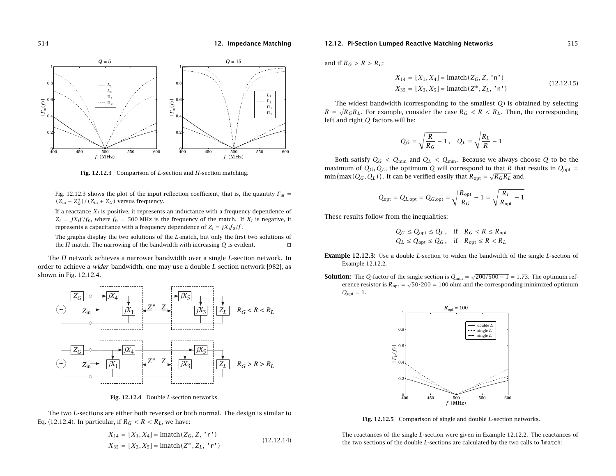

**Fig. 12.12.3** Comparison of L-section and Π-section matching.

Fig. 12.12.3 shows the plot of the input reflection coefficient, that is, the quantity  $\varGamma_{\rm in}$  =  $(Z_{\text{in}} - Z_G^*) / (Z_{\text{in}} + Z_G)$  versus frequency.

If a reactance  $X_i$  is positive, it represents an inductance with a frequency dependence of  $Z_i = jX_i f/f_0$ , where  $f_0 = 500$  MHz is the frequency of the match. If  $X_i$  is negative, it represents a capacitance with a frequency dependence of  $Z_i = jX_i f_0/f$ .

The graphs display the two solutions of the L-match, but only the first two solutions of the  $\Pi$  match. The narrowing of the bandwidth with increasing  $Q$  is evident.  $\hfill\Box$ 

The  $\Pi$  network achieves a narrower bandwidth over a single L-section network. In order to achieve a *wider* bandwidth, one may use a double L-section network [982], as shown in Fig. 12.12.4.



**Fig. 12.12.4** Double L-section networks.

The two L-sections are either both reversed or both normal. The design is similar to Eq. (12.12.4). In particular, if  $R_G < R < R_L$ , we have:

$$
X_{14} = [X_1, X_4] = \text{lmatch}(Z_G, Z, 'r')
$$
  
\n
$$
X_{35} = [X_3, X_5] = \text{lmatch}(Z^*, Z_L, 'r')
$$
\n(12.12.14)

#### **12.12. Pi-Section Lumped Reactive Matching Networks** 515

and if  $R_G > R > R_L$ :

$$
X_{14} = [X_1, X_4] = \text{lmatch}(Z_G, Z, 'n')
$$
  
\n
$$
X_{35} = [X_3, X_5] = \text{lmatch}(Z^*, Z_L, 'n')
$$
\n(12.12.15)

The widest bandwidth (corresponding to the smallest  $O$ ) is obtained by selecting  $R = \sqrt{R_GR_L}$ . For example, consider the case  $R_G < R < R_L$ . Then, the corresponding left and right  $O$  factors will be:

$$
Q_G = \sqrt{\frac{R}{R_G} - 1}, \quad Q_L = \sqrt{\frac{R_L}{R} - 1}
$$

Both satisfy  $Q_G\,<\,Q_{\rm min}$  and  $Q_L\,<\,Q_{\rm min}.$  Because we always choose  $Q$  to be the maximum of  $Q_G, Q_L,$  the optimum  $Q$  will correspond to that  $R$  that results in  $Q_{\mathrm{opt}}=$  $min(max(Q_G, Q_L))$ . It can be verified easily that  $R_{opt} = \sqrt{R_GR_L}$  and

$$
Q_{\text{opt}} = Q_{L,\text{opt}} = Q_{G,\text{opt}} = \sqrt{\frac{R_{\text{opt}}}{R_G} - 1} = \sqrt{\frac{R_L}{R_{\text{opt}}} - 1}
$$

These results follow from the inequalities:

$$
Q_G \le Q_{\text{opt}} \le Q_L, \quad \text{if} \quad R_G < R \le R_{\text{opt}}
$$
\n
$$
Q_L \le Q_{\text{opt}} \le Q_G, \quad \text{if} \quad R_{\text{opt}} \le R < R_L
$$

- **Example 12.12.3:** Use <sup>a</sup> double L-section to widen the bandwidth of the single L-section of Example 12.12.2.
- **Solution:** The Q-factor of the single section is  $Q_{\min} = \sqrt{200/500 1} = 1.73$ . The optimum reference resistor is  $R_{\rm opt} = \sqrt{50 \cdot 200} = 100$  ohm and the corresponding minimized optimum  $Q_{\text{opt}} = 1$ .



**Fig. 12.12.5** Comparison of single and double L-section networks.

The reactances of the single L-section were given in Example 12.12.2. The reactances of the two sections of the double  $L$ -sections are calculated by the two calls to 1match: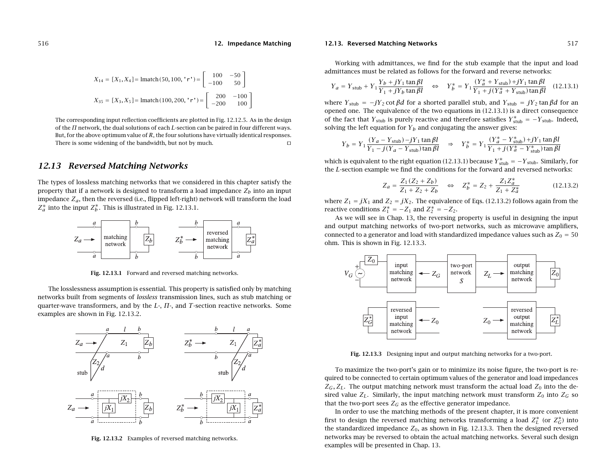$$
X_{14} = [X_1, X_4] = \text{lmatch}(50, 100, 'r') = \begin{bmatrix} 100 & -50 \\ -100 & 50 \end{bmatrix}
$$

$$
X_{35} = [X_3, X_5] = \text{lmatch}(100, 200, 'r') = \begin{bmatrix} 200 & -100 \\ -200 & 100 \end{bmatrix}
$$

The corresponding input reflection coefficients are plotted in Fig. 12.12.5. As in the design of the  $\Pi$  network, the dual solutions of each  $L$ -section can be paired in four different ways. But, for the above optimum value of  $R$ , the four solutions have virtually identical responses. There is some widening of the bandwidth, but not by much.

# **12.13 Reversed Matching Networks**

The types of lossless matching networks that we considered in this chapter satisfy the property that if a network is designed to transform a load impedance  $Z_b$  into an input impedance  $Z_a$ , then the reversed (i.e., flipped left-right) network will transform the load  $Z_a^*$  into the input  $Z_b^*$ . This is illustrated in Fig. 12.13.1.



**Fig. 12.13.1** Forward and reversed matching networks.

The losslessness assumption is essential. This property is satisfied only by matching networks built from segments of lossless transmission lines, such as stub matching or quarter-wave transformers, and by the  $L<sub>z</sub>$ ,  $\Pi<sub>z</sub>$ , and T-section reactive networks. Some examples are shown in Fig. 12.13.2.



**Fig. 12.13.2** Examples of reversed matching networks.

#### **12.13. Reversed Matching Networks** 517

Working with admittances, we find for the stub example that the input and load admittances must be related as follows for the forward and reverse networks:

$$
Y_a = Y_{\text{ stub}} + Y_1 \frac{Y_b + jY_1 \tan \beta l}{Y_1 + jY_b \tan \beta l} \quad \Leftrightarrow \quad Y_b^* = Y_1 \frac{(Y_a^* + Y_{\text{ stub}}) + jY_1 \tan \beta l}{Y_1 + j(Y_a^* + Y_{\text{ stub}}) \tan \beta l} \quad (12.13.1)
$$

where  $Y_{\text{stub}} = -jY_2 \cot \beta d$  for a shorted parallel stub, and  $Y_{\text{stub}} = jY_2 \tan \beta d$  for an opened one. The equivalence of the two equations in (12.13.1) is <sup>a</sup> direct consequence of the fact that  $Y_{\rm stub}$  is purely reactive and therefore satisfies  $Y_{\rm stub}^* = -Y_{\rm stub}.$  Indeed, solving the left equation for  $Y_b$  and conjugating the answer gives:

$$
Y_b = Y_1 \frac{(Y_a - Y_{\text{ stub}}) - jY_1 \tan \beta l}{Y_1 - j(Y_a - Y_{\text{stab}}) \tan \beta l} \Rightarrow Y_b^* = Y_1 \frac{(Y_a^* - Y_{\text{stab}}^*) + jY_1 \tan \beta l}{Y_1 + j(Y_a^* - Y_{\text{stab}}^*) \tan \beta l}
$$

which is equivalent to the right equation (12.13.1) because  $Y^*_{\rm stub}=-Y_{\rm stub}$ . Similarly, for the L-section example we find the conditions for the forward and reversed networks:

$$
Z_a = \frac{Z_1(Z_2 + Z_b)}{Z_1 + Z_2 + Z_b} \quad \Leftrightarrow \quad Z_b^* = Z_2 + \frac{Z_1 Z_a^*}{Z_1 + Z_a^*} \tag{12.13.2}
$$

where  $Z_1 = jX_1$  and  $Z_2 = jX_2$ . The equivalence of Eqs. (12.13.2) follows again from the reactive conditions  $Z_1^* = -Z_1$  and  $Z_2^* = -Z_2$ .

As we will see in Chap. 13, the reversing property is useful in designing the input and output matching networks of two-port networks, such as microwave amplifiers, connected to a generator and load with standardized impedance values such as  $Z_0 = 50\,$ ohm. This is shown in Fig. 12.13.3.



**Fig. 12.13.3** Designing input and output matching networks for <sup>a</sup> two-port.

To maximize the two-port's gain or to minimize its noise figure, the two-port is required to be connected to certain optimum values of the generator and load impedances  $Z_G$ ,  $Z_L$ . The output matching network must transform the actual load  $Z_0$  into the desired value  $Z_L$ . Similarly, the input matching network must transform  $Z_0$  into  $Z_G$  so that the two-port sees  $Z_G$  as the effective generator impedance.

In order to use the matching methods of the present chapter, it is more convenient first to design the reversed matching networks transforming a load  $Z^\ast_L$  (or  $Z^\ast_G$ ) into the standardized impedance  $Z_0$ , as shown in Fig. 12.13.3. Then the designed reversed networks may be reversed to obtain the actual matching networks. Several such design examples will be presented in Chap. 13.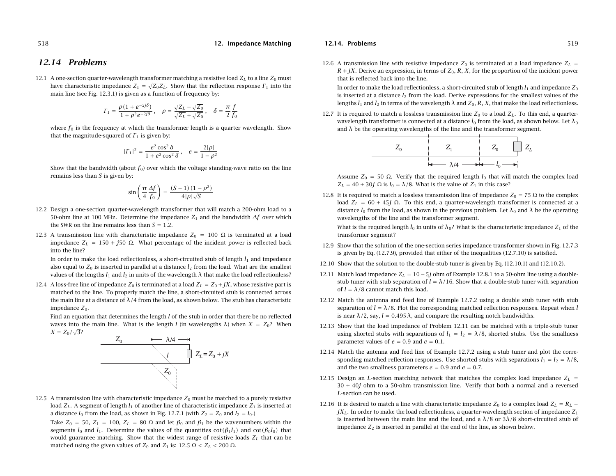# **12.14 Problems**

12.1  $\,$  A one-section quarter-wavelength transformer matching a resistive load  $Z_L$  to a line  $Z_0$  must have characteristic impedance  $Z_1 = \sqrt{Z_0 Z_L}$ . Show that the reflection response  $\Gamma_1$  into the main line (see Fig. 12.3.1) is given as <sup>a</sup> function of frequency by:

$$
\Gamma_1 = \frac{\rho(1+e^{-2j\delta})}{1+\rho^2e^{-2j\delta}}\,, \quad \rho = \frac{\sqrt{Z_L}-\sqrt{Z_0}}{\sqrt{Z_L}+\sqrt{Z_0}}\,, \quad \delta = \frac{\pi}{2}\frac{f}{f_0}
$$

where  $f_0$  is the frequency at which the transformer length is a quarter wavelength. Show that the magnitude-squared of  $\mathit{\Gamma}_1$  is given by:

$$
|\Gamma_1|^2 = \frac{e^2 \cos^2 \delta}{1 + e^2 \cos^2 \delta}, \quad e = \frac{2|\rho|}{1 - \rho^2}
$$

Show that the bandwidth (about  $f_0$ ) over which the voltage standing-wave ratio on the line remains less than  $S$  is given by:

$$
\sin\left(\frac{\pi}{4}\frac{\Delta f}{f_0}\right) = \frac{(S-1)\left(1-\rho^2\right)}{4|\rho|\sqrt{S}}
$$

- 12.2 Design <sup>a</sup> one-section quarter-wavelength transformer that will match <sup>a</sup> 200-ohm load to <sup>a</sup> 50-ohm line at 100 MHz. Determine the impedance  $Z_1$  and the bandwidth  $\Delta f$  over which the SWR on the line remains less than  $S=1.2.$
- 12.3 A transmission line with characteristic impedance  $Z_0$  = 100  $\Omega$  is terminated at a load impedance  $Z_L = 150 + j50$  Ω. What percentage of the incident power is reflected back into the line?

In order to make the load reflectionless, a short-circuited stub of length  $l_1$  and impedance also equal to  $Z_0$  is inserted in parallel at a distance  $l_2$  from the load. What are the smallest values of the lengths  $l_1$  and  $l_2$  in units of the wavelength  $\lambda$  that make the load reflectionless?

12.4  $\,$  A loss-free line of impedance  $Z_0$  is terminated at a load  $Z_L = Z_0 + jX$ , whose resistive part is matched to the line. To properly match the line, <sup>a</sup> short-circuited stub is connected across the main line at a distance of  $\lambda/4$  from the load, as shown below. The stub has characteristic impedance  $Z_0$ .

Find an equation that determines the length  $l$  of the stub in order that there be no reflected waves into the main line. What is the length l (in wavelengths  $\lambda$ ) when  $X = Z_0$ ? When  $X = Z_0 / \sqrt{3}$ ?



12.5  $\,$  A transmission line with characteristic impedance  $Z_0$  must be matched to a purely resistive load  $Z_L.$  A segment of length  $l_1$  of another line of characteristic impedance  $Z_1$  is inserted at a distance  $l_0$  from the load, as shown in Fig. 12.7.1 (with  $Z_2=Z_0$  and  $l_2=l_0.$ )

Take  $Z_0 = 50$ ,  $Z_1 = 100$ ,  $Z_L = 80 \Omega$  and let  $\beta_0$  and  $\beta_1$  be the wavenumbers within the segments  $l_0$  and  $l_1$ . Determine the values of the quantities cot $(\beta_1 l_1)$  and cot $(\beta_0 l_0)$  that would guarantee matching. Show that the widest range of resistive loads  $Z_L$  that can be matched using the given values of  $Z_0$  and  $Z_1$  is:  $12.5~\Omega < Z_L < 200~\Omega$ .

#### **12.14. Problems**

12.6 A transmission line with resistive impedance  $Z_0$  is terminated at a load impedance  $Z_L$  =  $R + jX$ . Derive an expression, in terms of  $Z_0$ ,  $R$ ,  $X$ , for the proportion of the incident power that is reflected back into the line.

In order to make the load reflectionless, a short-circuited stub of length  $l_1$  and impedance  $Z_0$ is inserted at a distance  $l_2$  from the load. Derive expressions for the smallest values of the lengths  $l_1$  and  $l_2$  in terms of the wavelength  $\lambda$  and  $Z_0, R, X$ , that make the load reflectionless.

12.7 It is required to match a lossless transmission line  $Z_0$  to a load  $Z_L$ . To this end, a quarterwavelength transformer is connected at a distance  $l_0$  from the load, as shown below. Let  $\lambda_0$ and  $\lambda$  be the operating wavelengths of the line and the transformer segment.

$$
Z_0 \hspace{1cm} Z_1 \hspace{1cm} Z_0 \hspace{1cm} Z_L
$$

Assume  $Z_0 = 50 \Omega$ . Verify that the required length  $l_0$  that will match the complex load  $Z_L = 40 + 30j \Omega$  is  $l_0 = \lambda/8$ . What is the value of  $Z_1$  in this case?

12.8 It is required to match a lossless transmission line of impedance  $Z_0 = 75 \Omega$  to the complex load  $Z_L$  = 60 + 45 $j$  Ω. To this end, a quarter-wavelength transformer is connected at a distance  $l_0$  from the load, as shown in the previous problem. Let  $\lambda_0$  and  $\lambda$  be the operating wavelengths of the line and the transformer segment.

What is the required length  $l_0$  in units of  $\lambda_0$ ? What is the characteristic impedance  $Z_1$  of the transformer segment?

- 12.9 Show that the solution of the one-section series impedance transformer shown in Fig. 12.7.3 is given by Eq. (12.7.9), provided that either of the inequalities (12.7.10) is satisfied.
- 12.10 Show that the solution to the double-stub tuner is given by Eq. (12.10.1) and (12.10.2).
- 12.11  $\,$  Match load impedance  $Z_L = 10-5j$  ohm of Example 12.8.1 to a 50-ohm line using a doublestub tuner with stub separation of  $l = \lambda/16$ . Show that a double-stub tuner with separation of  $l = \lambda/8$  cannot match this load.
- 12.12 Match the antenna and feed line of Example 12.7.2 using <sup>a</sup> double stub tuner with stub separation of  $l = \lambda/8$ . Plot the corresponding matched reflection responses. Repeat when l is near  $\lambda/2$ , say,  $l = 0.495 \lambda$ , and compare the resulting notch bandwidths.
- 12.13 Show that the load impedance of Problem 12.11 can be matched with <sup>a</sup> triple-stub tuner using shorted stubs with separations of  $l_1 = l_2 = \lambda/8$ , shorted stubs. Use the smallness parameter values of  $e = 0.9$  and  $e = 0.1$ .
- 12.14 Match the antenna and feed line of Example 12.7.2 using <sup>a</sup> stub tuner and plot the corresponding matched reflection responses. Use shorted stubs with separations  $l_1=l_2=\lambda/8,$ and the two smallness parameters  $e = 0.9$  and  $e = 0.7$ .
- 12.15 Design an  $L$ -section matching network that matches the complex load impedance  $Z_L$  = 30 + 40j ohm to <sup>a</sup> 50-ohm transmission line. Verify that both <sup>a</sup> normal and <sup>a</sup> reversed L-section can be used.
- 12.16 It is desired to match a line with characteristic impedance  $Z_0$  to a complex load  $Z_L = R_L +$  $jX_L$ . In order to make the load reflectionless, a quarter-wavelength section of impedance  $Z_1$ is inserted between the main line and the load, and a  $\lambda/8$  or  $3\lambda/8$  short-circuited stub of impedance  $Z_2$  is inserted in parallel at the end of the line, as shown below.